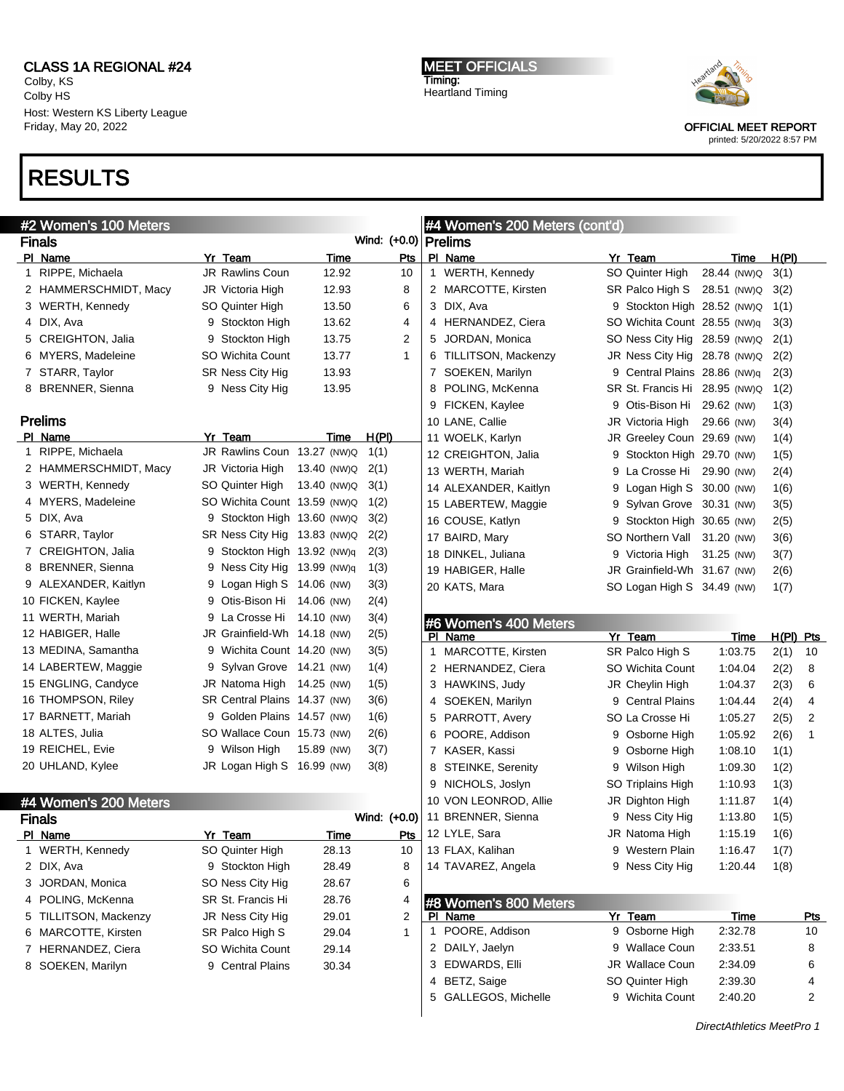Colby, KS Colby HS Host: Western KS Liberty League Friday, May 20, 2022

# RESULTS

#### #2 Women's 100 Meters Finals Wind: (+0.0) PI Name **Yr Team** Time Pts 1 RIPPE, Michaela **JR Rawlins Coun** 12.92 10 2 HAMMERSCHMIDT, Macy JR Victoria High 12.93 8 3 WERTH, Kennedy SO Quinter High 13.50 6 4 DIX, Ava 9 Stockton High 13.62 4 5 CREIGHTON, Jalia  $\overline{9}$  Stockton High 13.75 2 6 MYERS, Madeleine SO Wichita Count 13.77 1 7 STARR, Taylor SR Ness City Hig 13.93 8 BRENNER, Sienna 9 Ness City Hig 13.95 Prelims Pl Name Yr Team Time H(Pl) 1 RIPPE, Michaela JR Rawlins Coun 13.27 (NW)Q 1(1) 2 HAMMERSCHMIDT, Macy JR Victoria High 13.40 (NW)Q 2(1) 3 WERTH, Kennedy SO Quinter High 13.40 (NW)Q 3(1) 4 MYERS, Madeleine SO Wichita Count 13.59 (NW)Q 1(2) 5 DIX, Ava 9 Stockton High 13.60 (NW)Q 3(2) 6 STARR, Taylor SR Ness City Hig 13.83 (NW)Q 2(2) 7 CREIGHTON, Jalia 9 Stockton High 13.92 (NW)q 2(3) 8 BRENNER, Sienna 9 Ness City Hig 13.99 (NW)q 1(3) 9 ALEXANDER, Kaitlyn 9 Logan High S 14.06 (NW) 3(3) 10 FICKEN, Kaylee 9 Otis-Bison Hi 14.06 (NW) 2(4) 11 WERTH, Mariah 9 La Crosse Hi 14.10 (NW) 3(4) 12 HABIGER, Halle JR Grainfield-Wh 14.18 (NW) 2(5) 13 MEDINA, Samantha 9 Wichita Count 14.20 (NW) 3(5) 14 LABERTEW, Maggie 9 Sylvan Grove 14.21 (NW) 1(4) 15 ENGLING, Candyce JR Natoma High 14.25 (NW) 1(5) 16 THOMPSON, Riley SR Central Plains 14.37 (NW) 3(6) 17 BARNETT, Mariah 9 Golden Plains 14.57 (NW) 1(6) 18 ALTES, Julia SO Wallace Coun 15.73 (NW) 2(6) 19 REICHEL, Evie 9 Wilson High 15.89 (NW) 3(7) 20 UHLAND, Kylee JR Logan High S 16.99 (NW) 3(8) #4 Women's 200 Meters Finals Wind: (+0.0) PI Name **Product Product Product Product Product** Product Product Product Product Product Product Product Product Product Product Product Product Product Product Product Product Product Product Product Product Product Prod 1 WERTH, Kennedy SO Quinter High 28.13 10 2 DIX, Ava 9 Stockton High 28.49 8 3 JORDAN, Monica SO Ness City Hig 28.67 6 4 POLING, McKenna SR St. Francis Hi 28.76 4 5 TILLITSON, Mackenzy JR Ness City Hig 29.01 2 6 MARCOTTE, Kirsten SR Palco High S 29.04 1 7 HERNANDEZ, Ciera SO Wichita Count 29.14 8 SOEKEN, Marilyn 9 Central Plains 30.34 #4 Women's 200 Meters (cont'd) Prelims PI Name **Yr Team Yr Team** Time H(PI) 1 WERTH, Kennedy SO Quinter High 28.44 (NW)Q 3(1) 2 MARCOTTE, Kirsten SR Palco High S 28.51 (NW) Q 3(2) 3 DIX, Ava 9 Stockton High 28.52 (NW)Q 1(1) 4 HERNANDEZ, Ciera SO Wichita Count 28.55 (NW)q 3(3) 5 JORDAN, Monica SO Ness City Hig 28.59 (NW)Q 2(1) 6 TILLITSON, Mackenzy JR Ness City Hig 28.78 (NW)Q 2(2) 7 SOEKEN, Marilyn 9 Central Plains 28.86 (NW)q 2(3) 8 POLING, McKenna SR St. Francis Hi 28.95 (NW)Q 1(2) 9 FICKEN, Kaylee 9 Otis-Bison Hi 29.62 (NW) 1(3) 10 LANE, Callie JR Victoria High 29.66 (NW) 3(4) 11 WOELK, Karlyn JR Greeley Coun 29.69 (NW) 1(4) 12 CREIGHTON, Jalia 9 Stockton High 29.70 (NW) 1(5) 13 WERTH, Mariah 9 La Crosse Hi 29.90 (NW) 2(4) 14 ALEXANDER, Kaitlyn 9 Logan High S 30.00 (NW) 1(6) 15 LABERTEW, Maggie 9 Sylvan Grove 30.31 (NW) 3(5) 16 COUSE, Katlyn 9 Stockton High 30.65 (NW) 2(5) 17 BAIRD, Mary SO Northern Vall 31.20 (NW) 3(6) 18 DINKEL, Juliana 9 Victoria High 31.25 (NW) 3(7) 19 HABIGER, Halle JR Grainfield-Wh 31.67 (NW) 2(6) 20 KATS, Mara SO Logan High S 34.49 (NW) 1(7) #6 Women's 400 Meters<br>PL Name Yr Team Time H(PI) Pts 1 MARCOTTE, Kirsten SR Palco High S 1:03.75 2(1) 10 2 HERNANDEZ, Ciera SO Wichita Count 1:04.04 2(2) 8 3 HAWKINS, Judy JR Cheylin High 1:04.37 2(3) 6 4 SOEKEN, Marilyn 9 Central Plains 1:04.44 2(4) 4 5 PARROTT, Avery SO La Crosse Hi 1:05.27 2(5) 2 6 POORE, Addison 9 Osborne High 1:05.92 2(6) 1 7 KASER, Kassi 9 Osborne High 1:08.10 1(1) 8 STEINKE, Serenity 9 Wilson High 1:09.30 1(2) 9 NICHOLS, Joslyn SO Triplains High 1:10.93 1(3) 10 VON LEONROD, Allie JR Dighton High 1:11.87 1(4) 11 BRENNER, Sienna 9 Ness City Hig 1:13.80 1(5) 12 LYLE, Sara **JR Natoma High 1:15.19 1(6)** 13 FLAX, Kalihan 9 Western Plain 1:16.47 1(7) 14 TAVAREZ, Angela 9 Ness City Hig 1:20.44 1(8) #8 Women's 800 Meters PI Name **Product Contract Product Product Product Product Product Product Product Product Product Product Product Product Product Product Product Product Product Product Product Product Product Product Product Product Prod** 1 POORE, Addison 9 Osborne High 2:32.78 10 2 DAILY, Jaelyn 9 Wallace Coun 2:33.51 8 3 EDWARDS, Elli JR Wallace Coun 2:34.09 6 4 BETZ, Saige **SO Quinter High** 2:39.30 4 5 GALLEGOS, Michelle 9 Wichita Count 2:40.20 2 DirectAthletics MeetPro 1

MEET OFFICIALS Timing: Heartland Timing



OFFICIAL MEET REPORT printed: 5/20/2022 8:57 PM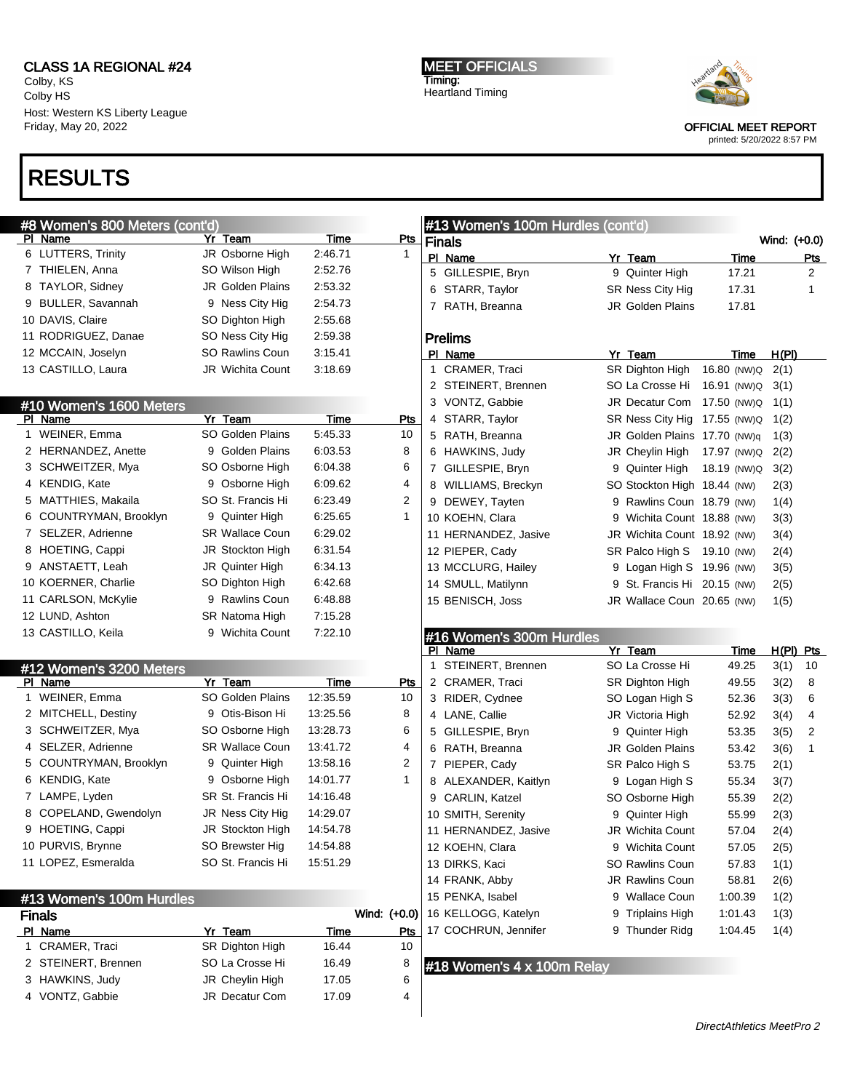Colby, KS Colby HS Host: Western KS Liberty League Friday, May 20, 2022

# RESULTS

MEET OFFICIALS Timing: Heartland Timing



OFFICIAL MEET REPORT

printed: 5/20/2022 8:57 PM

| #8 Women's 800 Meters (cont'd) |                         |             |                |   | #13 Women's 100m Hurdles (cont'd) |   |                              |             |              |              |
|--------------------------------|-------------------------|-------------|----------------|---|-----------------------------------|---|------------------------------|-------------|--------------|--------------|
| PI Name                        | Yr Team                 | Time        | Pts            |   | <b>Finals</b>                     |   |                              |             | Wind: (+0.0) |              |
| 6 LUTTERS, Trinity             | JR Osborne High         | 2:46.71     | 1              |   | PI Name                           |   | Yr Team                      | <b>Time</b> |              | <u>Pts</u>   |
| 7 THIELEN, Anna                | SO Wilson High          | 2:52.76     |                |   | 5 GILLESPIE, Bryn                 |   | 9 Quinter High               | 17.21       |              | 2            |
| 8 TAYLOR, Sidney               | <b>JR Golden Plains</b> | 2:53.32     |                |   | 6 STARR, Taylor                   |   | SR Ness City Hig             | 17.31       |              | $\mathbf{1}$ |
| 9 BULLER, Savannah             | 9 Ness City Hig         | 2:54.73     |                |   | 7 RATH, Breanna                   |   | <b>JR Golden Plains</b>      | 17.81       |              |              |
| 10 DAVIS, Claire               | SO Dighton High         | 2:55.68     |                |   |                                   |   |                              |             |              |              |
| 11 RODRIGUEZ, Danae            | SO Ness City Hig        | 2:59.38     |                |   | <b>Prelims</b>                    |   |                              |             |              |              |
| 12 MCCAIN, Joselyn             | SO Rawlins Coun         | 3:15.41     |                |   | PI Name                           |   | Yr Team                      | Time        | H(PI)        |              |
| 13 CASTILLO, Laura             | <b>JR Wichita Count</b> | 3:18.69     |                |   | 1 CRAMER, Traci                   |   | SR Dighton High              | 16.80 (NW)Q | 2(1)         |              |
|                                |                         |             |                |   | 2 STEINERT, Brennen               |   | SO La Crosse Hi 16.91 (NW)Q  |             | 3(1)         |              |
| #10 Women's 1600 Meters        |                         |             |                |   | 3 VONTZ, Gabbie                   |   | JR Decatur Com 17.50 (NW)Q   |             | 1(1)         |              |
| PI Name                        | Yr Team                 | Time        | Pts            |   | 4 STARR, Taylor                   |   | SR Ness City Hig 17.55 (NW)Q |             | 1(2)         |              |
| 1 WEINER, Emma                 | SO Golden Plains        | 5:45.33     | 10             |   | 5 RATH, Breanna                   |   | JR Golden Plains 17.70 (NW)q |             | 1(3)         |              |
| 2 HERNANDEZ, Anette            | 9 Golden Plains         | 6:03.53     | 8              |   | 6 HAWKINS, Judy                   |   | JR Cheylin High              | 17.97 (NW)Q | 2(2)         |              |
| 3 SCHWEITZER, Mya              | SO Osborne High         | 6:04.38     | 6              |   | 7 GILLESPIE, Bryn                 |   | 9 Quinter High               | 18.19 (NW)Q | 3(2)         |              |
| 4 KENDIG, Kate                 | 9 Osborne High          | 6:09.62     | 4              |   | 8 WILLIAMS, Breckyn               |   | SO Stockton High 18.44 (NW)  |             | 2(3)         |              |
| 5 MATTHIES, Makaila            | SO St. Francis Hi       | 6:23.49     | $\overline{2}$ |   | 9 DEWEY, Tayten                   |   | 9 Rawlins Coun 18.79 (NW)    |             | 1(4)         |              |
| 6 COUNTRYMAN, Brooklyn         | 9 Quinter High          | 6:25.65     | $\mathbf{1}$   |   | 10 KOEHN, Clara                   |   | 9 Wichita Count 18.88 (NW)   |             | 3(3)         |              |
| 7 SELZER, Adrienne             | <b>SR Wallace Coun</b>  | 6:29.02     |                |   | 11 HERNANDEZ, Jasive              |   | JR Wichita Count 18.92 (NW)  |             | 3(4)         |              |
| 8 HOETING, Cappi               | JR Stockton High        | 6:31.54     |                |   | 12 PIEPER, Cady                   |   | SR Palco High S 19.10 (NW)   |             | 2(4)         |              |
| 9 ANSTAETT, Leah               | JR Quinter High         | 6:34.13     |                |   | 13 MCCLURG, Hailey                |   | 9 Logan High S 19.96 (NW)    |             | 3(5)         |              |
| 10 KOERNER, Charlie            | SO Dighton High         | 6:42.68     |                |   | 14 SMULL, Matilynn                |   | 9 St. Francis Hi 20.15 (NW)  |             | 2(5)         |              |
| 11 CARLSON, McKylie            | 9 Rawlins Coun          | 6:48.88     |                |   | 15 BENISCH, Joss                  |   | JR Wallace Coun 20.65 (NW)   |             | 1(5)         |              |
| 12 LUND, Ashton                | SR Natoma High          | 7:15.28     |                |   |                                   |   |                              |             |              |              |
| 13 CASTILLO, Keila             | 9 Wichita Count         | 7:22.10     |                |   | #16 Women's 300m Hurdles          |   |                              |             |              |              |
|                                |                         |             |                |   | PI Name                           |   | Yr Team                      | <u>Time</u> | $H(PI)$ Pts  |              |
| #12 Women's 3200 Meters        |                         |             |                | 1 | STEINERT, Brennen                 |   | SO La Crosse Hi              | 49.25       | 3(1)         | 10           |
| PI Name                        | Yr Team                 | Time        | Pts            |   | 2 CRAMER, Traci                   |   | SR Dighton High              | 49.55       | 3(2)         | 8            |
| 1 WEINER, Emma                 | SO Golden Plains        | 12:35.59    | 10             |   | 3 RIDER, Cydnee                   |   | SO Logan High S              | 52.36       | 3(3)         | 6            |
| 2 MITCHELL, Destiny            | 9 Otis-Bison Hi         | 13:25.56    | 8              |   | 4 LANE, Callie                    |   | JR Victoria High             | 52.92       | 3(4)         | 4            |
| 3 SCHWEITZER, Mya              | SO Osborne High         | 13:28.73    | 6              |   | 5 GILLESPIE, Bryn                 |   | 9 Quinter High               | 53.35       | 3(5)         | 2            |
| 4 SELZER, Adrienne             | <b>SR Wallace Coun</b>  | 13:41.72    | 4              |   | 6 RATH, Breanna                   |   | <b>JR Golden Plains</b>      | 53.42       | 3(6)         | 1            |
| 5 COUNTRYMAN, Brooklyn         | 9 Quinter High          | 13:58.16    | 2              |   | 7 PIEPER, Cady                    |   | SR Palco High S              | 53.75       | 2(1)         |              |
| 6 KENDIG, Kate                 | 9 Osborne High          | 14:01.77    | $\mathbf{1}$   |   | 8 ALEXANDER, Kaitlyn              |   | 9 Logan High S               | 55.34       | 3(7)         |              |
| 7 LAMPE, Lyden                 | SR St. Francis Hi       | 14:16.48    |                |   | 9 CARLIN, Katzel                  |   | SO Osborne High              | 55.39       | 2(2)         |              |
| 8 COPELAND, Gwendolyn          | JR Ness City Hig        | 14:29.07    |                |   | 10 SMITH, Serenity                | 9 | Quinter High                 | 55.99       | 2(3)         |              |
| 9 HOETING, Cappi               | JR Stockton High        | 14:54.78    |                |   | 11 HERNANDEZ, Jasive              |   | JR Wichita Count             | 57.04       | 2(4)         |              |
| 10 PURVIS, Brynne              | SO Brewster Hig         | 14:54.88    |                |   | 12 KOEHN, Clara                   |   | 9 Wichita Count              | 57.05       | 2(5)         |              |
| 11 LOPEZ, Esmeralda            | SO St. Francis Hi       | 15:51.29    |                |   | 13 DIRKS, Kaci                    |   | SO Rawlins Coun              | 57.83       | 1(1)         |              |
|                                |                         |             |                |   | 14 FRANK, Abby                    |   | JR Rawlins Coun              | 58.81       | 2(6)         |              |
| #13 Women's 100m Hurdles       |                         |             |                |   | 15 PENKA, Isabel                  |   | 9 Wallace Coun               | 1:00.39     | 1(2)         |              |
| <b>Finals</b>                  |                         |             | Wind: (+0.0)   |   | 16 KELLOGG, Katelyn               |   | 9 Triplains High             | 1:01.43     | 1(3)         |              |
| PI Name                        | Yr Team                 | <b>Time</b> | <u>Pts</u>     |   | 17 COCHRUN, Jennifer              |   | 9 Thunder Ridg               | 1:04.45     | 1(4)         |              |
| 1 CRAMER, Traci                | SR Dighton High         | 16.44       | 10             |   |                                   |   |                              |             |              |              |
| 2 STEINERT, Brennen            | SO La Crosse Hi         | 16.49       | 8              |   | #18 Women's 4 x 100m Relay        |   |                              |             |              |              |
| 3 HAWKINS, Judy                | JR Cheylin High         | 17.05       | 6              |   |                                   |   |                              |             |              |              |
| 4 VONTZ, Gabbie                | JR Decatur Com          | 17.09       | 4              |   |                                   |   |                              |             |              |              |

 $\overline{\phantom{a}}$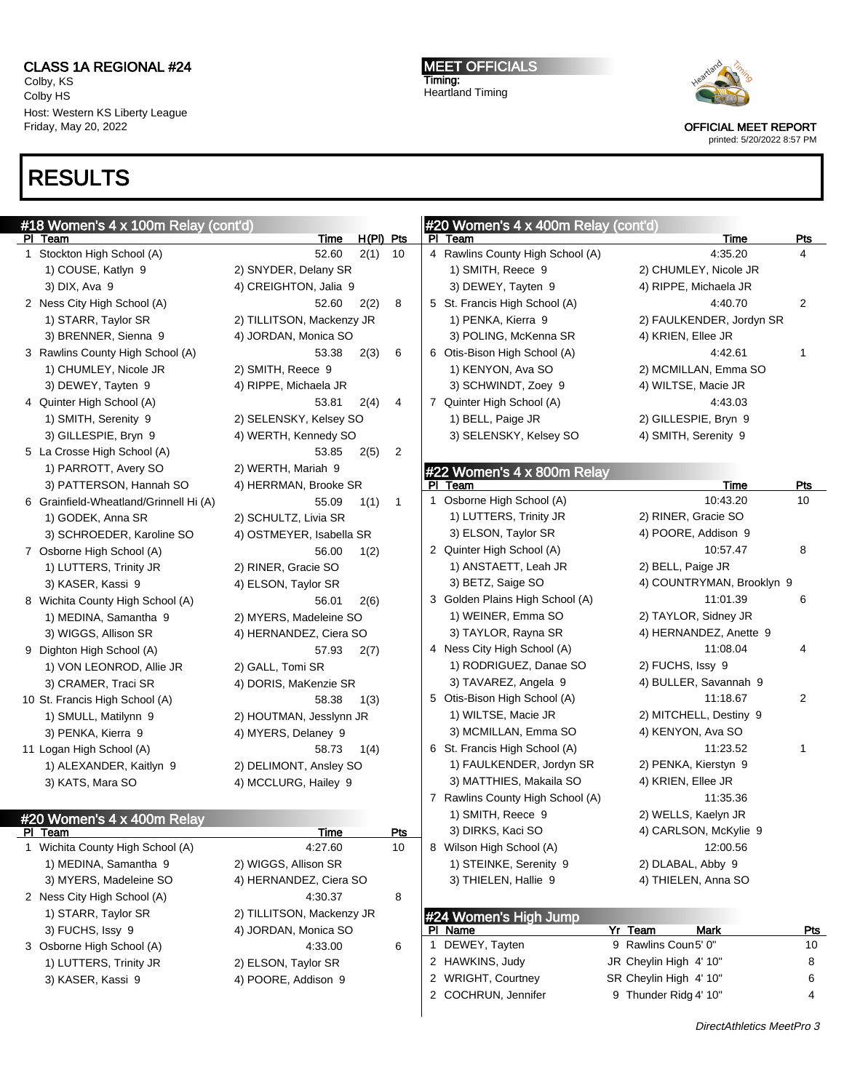Colby, KS Colby HS Host: Western KS Liberty League Friday, May 20, 2022

# RESULTS

MEET OFFICIALS Timing: Heartland Timing



OFFICIAL MEET REPORT printed: 5/20/2022 8:57 PM

| #18 Women's 4 x 100m Relay (cont'd)    |                           |                      |    | #20 Women's 4 x 400m Relay (cont'd) |                                                  |                  |
|----------------------------------------|---------------------------|----------------------|----|-------------------------------------|--------------------------------------------------|------------------|
| PI Team<br>1 Stockton High School (A)  | Time                      | $H(PI)$ Pts          |    | PI Team                             | <b>Time</b>                                      | <b>Pts</b>       |
|                                        | 52.60                     | 2(1)<br>10           |    | 4 Rawlins County High School (A)    | 4:35.20                                          | 4                |
| 1) COUSE, Katlyn 9                     | 2) SNYDER, Delany SR      |                      |    | 1) SMITH, Reece 9                   | 2) CHUMLEY, Nicole JR                            |                  |
| 3) DIX, Ava 9                          | 4) CREIGHTON, Jalia 9     |                      |    | 3) DEWEY, Tayten 9                  | 4) RIPPE, Michaela JR                            |                  |
| 2 Ness City High School (A)            | 52.60                     | 2(2)<br>8            |    | 5 St. Francis High School (A)       | 4:40.70                                          | $\overline{2}$   |
| 1) STARR, Taylor SR                    | 2) TILLITSON, Mackenzy JR |                      |    | 1) PENKA, Kierra 9                  | 2) FAULKENDER, Jordyn SR                         |                  |
| 3) BRENNER, Sienna 9                   | 4) JORDAN, Monica SO      |                      |    | 3) POLING, McKenna SR               | 4) KRIEN, Ellee JR                               |                  |
| 3 Rawlins County High School (A)       | 53.38                     | 2(3)<br>6            |    | 6 Otis-Bison High School (A)        | 4:42.61                                          | 1                |
| 1) CHUMLEY, Nicole JR                  | 2) SMITH, Reece 9         |                      |    | 1) KENYON, Ava SO                   | 2) MCMILLAN, Emma SO                             |                  |
| 3) DEWEY, Tayten 9                     | 4) RIPPE, Michaela JR     |                      |    | 3) SCHWINDT, Zoey 9                 | 4) WILTSE, Macie JR                              |                  |
| 4 Quinter High School (A)              | 53.81                     | 2(4)<br>4            |    | 7 Quinter High School (A)           | 4:43.03                                          |                  |
| 1) SMITH, Serenity 9                   | 2) SELENSKY, Kelsey SO    |                      |    | 1) BELL, Paige JR                   | 2) GILLESPIE, Bryn 9                             |                  |
| 3) GILLESPIE, Bryn 9                   | 4) WERTH, Kennedy SO      |                      |    | 3) SELENSKY, Kelsey SO              | 4) SMITH, Serenity 9                             |                  |
| 5 La Crosse High School (A)            | 53.85                     | 2<br>2(5)            |    |                                     |                                                  |                  |
| 1) PARROTT, Avery SO                   | 2) WERTH, Mariah 9        |                      |    | #22 Women's 4 x 800m Relay          |                                                  |                  |
| 3) PATTERSON, Hannah SO                | 4) HERRMAN, Brooke SR     |                      | PL | Team                                | Time                                             | <u>Pts</u>       |
| 6 Grainfield-Wheatland/Grinnell Hi (A) | 55.09                     | 1(1)<br>$\mathbf{1}$ |    | 1 Osborne High School (A)           | 10:43.20                                         | 10               |
| 1) GODEK, Anna SR                      | 2) SCHULTZ, Livia SR      |                      |    | 1) LUTTERS, Trinity JR              | 2) RINER, Gracie SO                              |                  |
| 3) SCHROEDER, Karoline SO              | 4) OSTMEYER, Isabella SR  |                      |    | 3) ELSON, Taylor SR                 | 4) POORE, Addison 9                              |                  |
| 7 Osborne High School (A)              | 56.00                     | 1(2)                 |    | 2 Quinter High School (A)           | 10:57.47                                         | 8                |
| 1) LUTTERS, Trinity JR                 | 2) RINER, Gracie SO       |                      |    | 1) ANSTAETT, Leah JR                | 2) BELL, Paige JR                                |                  |
| 3) KASER, Kassi 9                      | 4) ELSON, Taylor SR       |                      |    | 3) BETZ, Saige SO                   | 4) COUNTRYMAN, Brooklyn 9                        |                  |
| 8 Wichita County High School (A)       | 56.01                     | 2(6)                 |    | 3 Golden Plains High School (A)     | 11:01.39                                         | 6                |
| 1) MEDINA, Samantha 9                  | 2) MYERS, Madeleine SO    |                      |    | 1) WEINER, Emma SO                  | 2) TAYLOR, Sidney JR                             |                  |
| 3) WIGGS, Allison SR                   | 4) HERNANDEZ, Ciera SO    |                      |    | 3) TAYLOR, Rayna SR                 | 4) HERNANDEZ, Anette 9                           |                  |
| 9 Dighton High School (A)              | 57.93                     | 2(7)                 |    | 4 Ness City High School (A)         | 11:08.04                                         | 4                |
| 1) VON LEONROD, Allie JR               | 2) GALL, Tomi SR          |                      |    | 1) RODRIGUEZ, Danae SO              | 2) FUCHS, Issy 9                                 |                  |
| 3) CRAMER, Traci SR                    | 4) DORIS, MaKenzie SR     |                      |    | 3) TAVAREZ, Angela 9                | 4) BULLER, Savannah 9                            |                  |
| 10 St. Francis High School (A)         | 58.38                     | 1(3)                 |    | 5 Otis-Bison High School (A)        | 11:18.67                                         | $\overline{2}$   |
| 1) SMULL, Matilynn 9                   | 2) HOUTMAN, Jesslynn JR   |                      |    | 1) WILTSE, Macie JR                 | 2) MITCHELL, Destiny 9                           |                  |
| 3) PENKA, Kierra 9                     | 4) MYERS, Delaney 9       |                      |    | 3) MCMILLAN, Emma SO                | 4) KENYON, Ava SO                                |                  |
| 11 Logan High School (A)               | 58.73                     | 1(4)                 |    | 6 St. Francis High School (A)       | 11:23.52                                         | 1                |
| 1) ALEXANDER, Kaitlyn 9                | 2) DELIMONT, Ansley SO    |                      |    | 1) FAULKENDER, Jordyn SR            | 2) PENKA, Kierstyn 9                             |                  |
| 3) KATS, Mara SO                       | 4) MCCLURG, Hailey 9      |                      |    | 3) MATTHIES, Makaila SO             | 4) KRIEN, Ellee JR                               |                  |
|                                        |                           |                      |    | 7 Rawlins County High School (A)    | 11:35.36                                         |                  |
|                                        |                           |                      |    | 1) SMITH, Reece 9                   | 2) WELLS, Kaelyn JR                              |                  |
| #20 Women's 4 x 400m Relay<br>PI Team  | Time                      | Pts                  |    | 3) DIRKS, Kaci SO                   | 4) CARLSON, McKylie 9                            |                  |
| 1 Wichita County High School (A)       | 4:27.60                   | 10                   |    | 8 Wilson High School (A)            | 12:00.56                                         |                  |
| 1) MEDINA, Samantha 9                  | 2) WIGGS, Allison SR      |                      |    | 1) STEINKE, Serenity 9              | 2) DLABAL, Abby 9                                |                  |
| 3) MYERS, Madeleine SO                 | 4) HERNANDEZ, Ciera SO    |                      |    | 3) THIELEN, Hallie 9                | 4) THIELEN, Anna SO                              |                  |
| 2 Ness City High School (A)            | 4:30.37                   | 8                    |    |                                     |                                                  |                  |
| 1) STARR, Taylor SR                    | 2) TILLITSON, Mackenzy JR |                      |    |                                     |                                                  |                  |
|                                        |                           |                      |    | #24 Women's High Jump               | Yr Team<br>Mark                                  |                  |
| 3) FUCHS, Issy 9                       | 4) JORDAN, Monica SO      |                      |    | PI Name<br>1 DEWEY, Tayten          | 9 Rawlins Coun5' 0"                              | <u>Pts</u><br>10 |
| 3 Osborne High School (A)              | 4:33.00                   | 6                    |    | 2 HAWKINS, Judy                     |                                                  | 8                |
| 1) LUTTERS, Trinity JR                 | 2) ELSON, Taylor SR       |                      |    | 2 WRIGHT, Courtney                  | JR Cheylin High 4' 10"<br>SR Cheylin High 4' 10" |                  |
| 3) KASER, Kassi 9                      | 4) POORE, Addison 9       |                      |    | 2 COCHRUN, Jennifer                 |                                                  | 6<br>4           |
|                                        |                           |                      |    |                                     | 9 Thunder Ridg 4' 10"                            |                  |

DirectAthletics MeetPro 3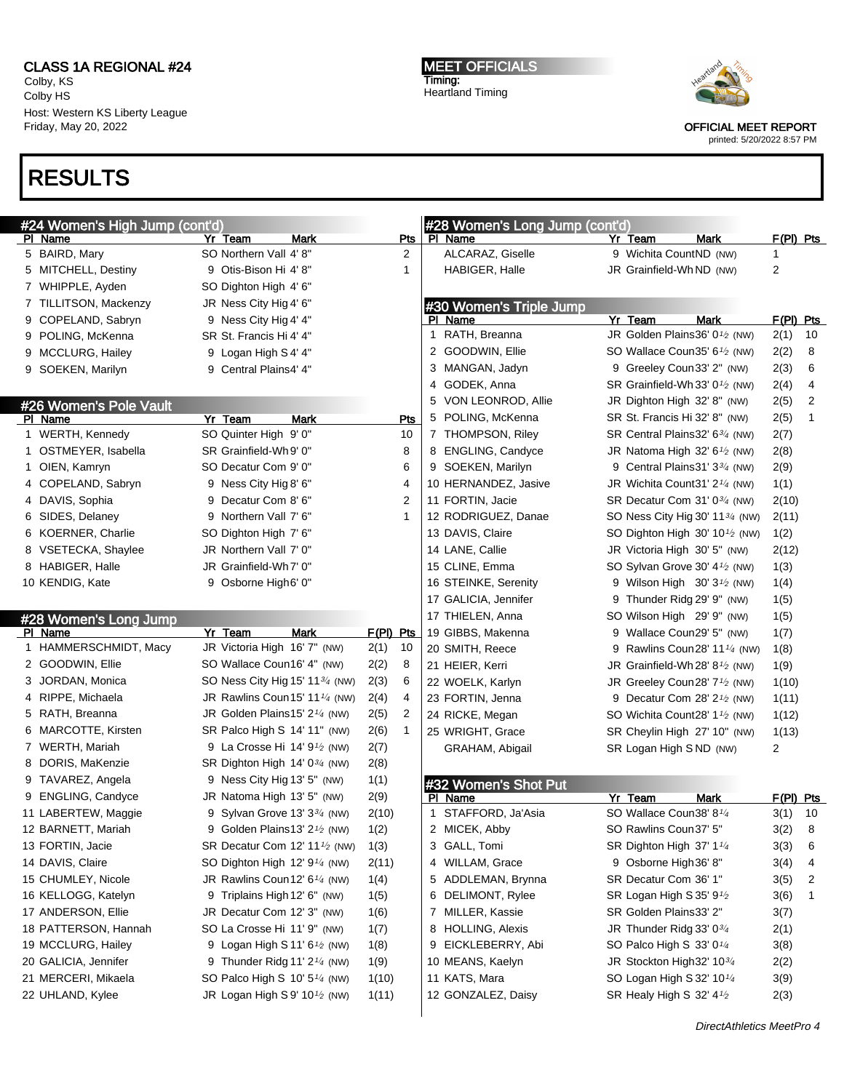Colby, KS Colby HS Host: Western KS Liberty League Friday, May 20, 2022

# RESULTS

MEET OFFICIALS Timing: Heartland Timing



OFFICIAL MEET REPORT

| #24 Women's High Jump (cont'd) |  |                                                       |             | #28 Women's Long Jump (cont'd) |              |                         |                                                       |             |           |    |
|--------------------------------|--|-------------------------------------------------------|-------------|--------------------------------|--------------|-------------------------|-------------------------------------------------------|-------------|-----------|----|
| PI Name                        |  | Yr Team<br>Mark                                       |             | Pts                            |              | PI Name                 | Yr Team                                               | Mark        | F(PI) Pts |    |
| 5 BAIRD, Mary                  |  | SO Northern Vall 4'8"                                 |             | 2                              |              | ALCARAZ, Giselle        | 9 Wichita CountND (NW)                                |             | 1         |    |
| 5 MITCHELL, Destiny            |  | 9 Otis-Bison Hi 4'8"                                  |             | 1                              |              | HABIGER, Halle          | JR Grainfield-WhND (NW)                               |             | 2         |    |
| 7 WHIPPLE, Ayden               |  | SO Dighton High 4' 6"                                 |             |                                |              |                         |                                                       |             |           |    |
| 7 TILLITSON, Mackenzy          |  | JR Ness City Hig 4' 6"                                |             |                                |              | #30 Women's Triple Jump |                                                       |             |           |    |
| 9 COPELAND, Sabryn             |  | 9 Ness City Hig 4' 4"                                 |             |                                |              | PI Name                 | Yr Team                                               | <b>Mark</b> | F(PI) Pts |    |
| 9 POLING, McKenna              |  | SR St. Francis Hi 4' 4"                               |             |                                | $\mathbf{1}$ | RATH, Breanna           | JR Golden Plains36' 01/2 (NW)                         |             | 2(1)      | 10 |
| 9 MCCLURG, Hailey              |  | 9 Logan High S4' 4"                                   |             |                                |              | 2 GOODWIN, Ellie        | SO Wallace Coun35' 6 <sup>1/2</sup> (NW)              |             | 2(2)      | 8  |
| 9 SOEKEN, Marilyn              |  | 9 Central Plains4' 4"                                 |             |                                |              | 3 MANGAN, Jadyn         | 9 Greeley Coun33' 2" (NW)                             |             | 2(3)      | 6  |
|                                |  |                                                       |             |                                | 4            | GODEK, Anna             | SR Grainfield-Wh 33' $0\frac{1}{2}$ (NW)              |             | 2(4)      | 4  |
| #26 Women's Pole Vault         |  |                                                       |             |                                | 5            | VON LEONROD, Allie      | JR Dighton High 32' 8" (NW)                           |             | 2(5)      | 2  |
| PI Name                        |  | Yr Team<br><b>Mark</b>                                |             | Pts                            | 5            | POLING, McKenna         | SR St. Francis Hi 32' 8" (NW)                         |             | 2(5)      | 1  |
| 1 WERTH, Kennedy               |  | SO Quinter High 9' 0"                                 |             | 10                             |              | 7 THOMPSON, Riley       | SR Central Plains32' 6 <sup>3/4</sup> (NW)            |             | 2(7)      |    |
| 1 OSTMEYER, Isabella           |  | SR Grainfield-Wh9' 0"                                 |             | 8                              |              | 8 ENGLING, Candyce      | JR Natoma High 32' $6\frac{1}{2}$ (NW)                |             | 2(8)      |    |
| 1 OIEN, Kamryn                 |  | SO Decatur Com 9' 0"                                  |             | 6                              |              | 9 SOEKEN, Marilyn       | 9 Central Plains 31' 33/4 (NW)                        |             | 2(9)      |    |
| 4 COPELAND, Sabryn             |  | 9 Ness City Hig 8' 6"                                 |             | 4                              |              | 10 HERNANDEZ, Jasive    | JR Wichita Count 31' 2 <sup>1/4</sup> (NW)            |             | 1(1)      |    |
| 4 DAVIS, Sophia                |  | 9 Decatur Com 8' 6"                                   |             | $\overline{2}$                 |              | 11 FORTIN, Jacie        | SR Decatur Com 31' 0 <sup>3/4</sup> (NW)              |             | 2(10)     |    |
| 6 SIDES, Delaney               |  | 9 Northern Vall 7' 6"                                 |             | $\mathbf{1}$                   |              | 12 RODRIGUEZ, Danae     | SO Ness City Hig 30' 11 <sup>3/4</sup> (NW)           |             | 2(11)     |    |
| 6 KOERNER, Charlie             |  | SO Dighton High 7' 6"                                 |             |                                |              | 13 DAVIS, Claire        | SO Dighton High 30' $10\frac{1}{2}$ (NW)              |             | 1(2)      |    |
| 8 VSETECKA, Shaylee            |  | JR Northern Vall 7' 0"                                |             |                                |              | 14 LANE, Callie         | JR Victoria High 30' 5" (NW)                          |             | 2(12)     |    |
| 8 HABIGER, Halle               |  | JR Grainfield-Wh7' 0"                                 |             |                                |              | 15 CLINE, Emma          | SO Sylvan Grove 30' 4 <sup>1/2</sup> (NW)             |             | 1(3)      |    |
| 10 KENDIG, Kate                |  | 9 Osborne High6' 0"                                   |             |                                |              | 16 STEINKE, Serenity    | 9 Wilson High $30'3'$ (NW)                            |             | 1(4)      |    |
|                                |  |                                                       |             |                                |              | 17 GALICIA, Jennifer    | 9 Thunder Ridg 29' 9" (NW)                            |             | 1(5)      |    |
| #28 Women's Long Jump          |  |                                                       |             |                                |              | 17 THIELEN, Anna        | SO Wilson High 29' 9" (NW)                            |             | 1(5)      |    |
| PI Name                        |  | Yr Team<br>Mark                                       | $F(PI)$ Pts |                                |              | 19 GIBBS, Makenna       | 9 Wallace Coun29' 5" (NW)                             |             | 1(7)      |    |
| 1 HAMMERSCHMIDT, Macy          |  | JR Victoria High 16' 7" (NW)                          | 2(1)        | 10                             |              | 20 SMITH, Reece         | 9 Rawlins Coun28' 11 <sup>1/4</sup> (NW)              |             | 1(8)      |    |
| 2 GOODWIN, Ellie               |  | SO Wallace Coun16' 4" (NW)                            | 2(2)        | 8                              |              | 21 HEIER, Kerri         | JR Grainfield-Wh 28' 8 $\frac{1}{2}$ (NW)             |             | 1(9)      |    |
| 3 JORDAN, Monica               |  | SO Ness City Hig 15' 11 <sup>3/4</sup> (NW)           | 2(3)        | 6                              |              | 22 WOELK, Karlyn        | JR Greeley Coun28' 7 <sup>1</sup> / <sub>2</sub> (NW) |             | 1(10)     |    |
| 4 RIPPE, Michaela              |  | JR Rawlins Coun15' 11 $\frac{1}{4}$ (NW)              | 2(4)        | 4                              |              | 23 FORTIN, Jenna        | 9 Decatur Com 28' 2 <sup>1</sup> / <sub>2</sub> (NW)  |             | 1(11)     |    |
| 5 RATH, Breanna                |  | JR Golden Plains15' 2 <sup>1/4</sup> (NW)             | 2(5)        | 2                              |              | 24 RICKE, Megan         | SO Wichita Count28' 1 <sup>1/2</sup> (NW)             |             | 1(12)     |    |
| 6 MARCOTTE, Kirsten            |  | SR Palco High S 14' 11" (NW)                          | 2(6)        | 1                              |              | 25 WRIGHT, Grace        | SR Cheylin High 27' 10" (NW)                          |             | 1(13)     |    |
| 7 WERTH, Mariah                |  | 9 La Crosse Hi 14' 9 <sup>1</sup> / <sub>2</sub> (NW) | 2(7)        |                                |              | GRAHAM, Abigail         | SR Logan High SND (NW)                                |             | 2         |    |
| 8 DORIS, MaKenzie              |  | SR Dighton High 14' 0 <sup>3/4</sup> (NW)             | 2(8)        |                                |              |                         |                                                       |             |           |    |
| 9 TAVAREZ, Angela              |  | 9 Ness City Hig 13' 5" (NW)                           | 1(1)        |                                |              | #32 Women's Shot Put    |                                                       |             |           |    |
| 9 ENGLING, Candyce             |  | JR Natoma High 13' 5" (NW)                            | 2(9)        |                                |              | PI Name                 | Yr Team                                               | Mark        | F(PI) Pts |    |
| 11 LABERTEW, Maggie            |  | 9 Sylvan Grove 13' 33/4 (NW)                          | 2(10)       |                                |              | 1 STAFFORD, Ja'Asia     | SO Wallace Coun38' 81/4                               |             | 3(1)      | 10 |
| 12 BARNETT, Mariah             |  | 9 Golden Plains13' 2 <sup>1</sup> / <sub>2</sub> (NW) | 1(2)        |                                |              | 2 MICEK, Abby           | SO Rawlins Coun37' 5"                                 |             | 3(2)      | 8  |
| 13 FORTIN, Jacie               |  | SR Decatur Com 12' 11 <sup>1</sup> /2 (NW)            | 1(3)        |                                |              | 3 GALL, Tomi            | SR Dighton High 37' 11/4                              |             | 3(3)      | 6  |
| 14 DAVIS, Claire               |  | SO Dighton High 12' 9 <sup>1/4</sup> (NW)             | 2(11)       |                                |              | 4 WILLAM, Grace         | 9 Osborne High 36' 8"                                 |             | 3(4)      | 4  |
| 15 CHUMLEY, Nicole             |  | JR Rawlins Coun12' $6\frac{1}{4}$ (NW)                | 1(4)        |                                |              | 5 ADDLEMAN, Brynna      | SR Decatur Com 36' 1"                                 |             | 3(5)      | 2  |
| 16 KELLOGG, Katelyn            |  | 9 Triplains High 12' 6" (NW)                          | 1(5)        |                                |              | 6 DELIMONT, Rylee       | SR Logan High S 35' 9 <sup>1</sup> /2                 |             | 3(6)      | 1  |
| 17 ANDERSON, Ellie             |  | JR Decatur Com 12' 3" (NW)                            | 1(6)        |                                |              | 7 MILLER, Kassie        | SR Golden Plains33' 2"                                |             | 3(7)      |    |
| 18 PATTERSON, Hannah           |  | SO La Crosse Hi 11' 9" (NW)                           | 1(7)        |                                |              | 8 HOLLING, Alexis       | JR Thunder Ridg 33' 03/4                              |             | 2(1)      |    |
| 19 MCCLURG, Hailey             |  | 9 Logan High S 11' 6 <sup>1</sup> / <sub>2</sub> (NW) | 1(8)        |                                |              | 9 EICKLEBERRY, Abi      | SO Palco High S 33' 0 <sup>1/4</sup>                  |             | 3(8)      |    |
| 20 GALICIA, Jennifer           |  | 9 Thunder Ridg 11' 2 $\frac{1}{4}$ (NW)               | 1(9)        |                                |              | 10 MEANS, Kaelyn        | JR Stockton High 32' $10\frac{3}{4}$                  |             | 2(2)      |    |
| 21 MERCERI, Mikaela            |  | SO Palco High S 10' 5 <sup>1/4</sup> (NW)             | 1(10)       |                                |              | 11 KATS, Mara           | SO Logan High S 32' 10 <sup>1/4</sup>                 |             | 3(9)      |    |
| 22 UHLAND, Kylee               |  | JR Logan High S9' 10 $\frac{1}{2}$ (NW)               | 1(11)       |                                |              | 12 GONZALEZ, Daisy      | SR Healy High S 32' 4 <sup>1</sup> /2                 |             | 2(3)      |    |
|                                |  |                                                       |             |                                |              |                         |                                                       |             |           |    |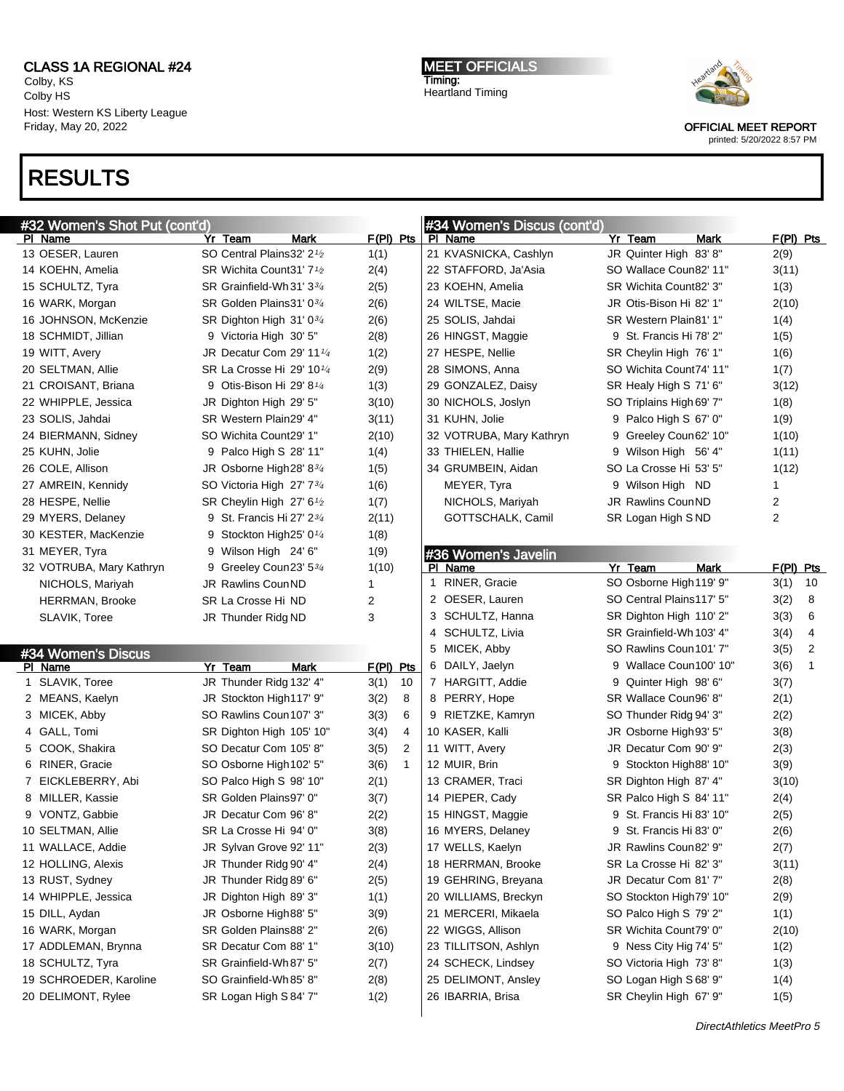Colby, KS Colby HS Host: Western KS Liberty League Friday, May 20, 2022

#32 Women's Shot Put (cont'd)

PI Name **Yr Team** Mark F(PI) Pts 13 OESER, Lauren SO Central Plains32' 2<sup>1</sup>/<sub>2</sub> 1(1) 14 KOEHN, Amelia  $S$ R Wichita Count31' 7 $\frac{1}{2}$  2(4) 15 SCHULTZ, Tyra SR Grainfield-Wh31' 3<sup>34</sup> 2(5) 16 WARK, Morgan SR Golden Plains31' 0<sup>3/4</sup> 2(6) 16 JOHNSON, McKenzie SR Dighton High 31' 0<sup>3/4</sup> 2(6) 18 SCHMIDT, Jillian 9 Victoria High 30' 5" 2(8) 19 WITT, Avery **JR Decatur Com 29' 11<sup>1</sup>/<sub>4</sub>** 1(2) 20 SELTMAN, Allie SR La Crosse Hi 29' 10<sup>1/4</sup> 2(9) 21 CROISANT, Briana  $\begin{array}{ccc} 9 & \text{Oris-Bison Hi } 29' & 8' \end{array}$  (3) 22 WHIPPLE, Jessica **JR Dighton High 29' 5"** 3(10) 23 SOLIS, Jahdai SR Western Plain29' 4" 3(11) 24 BIERMANN, Sidney SO Wichita Count29' 1" 2(10) 25 KUHN, Jolie 9 Palco High S 28' 11" 1(4) 26 COLE, Allison JR Osborne High  $28' 8^{3/4}$  1(5) 27 AMREIN, Kennidy SO Victoria High 27' 7<sup>3</sup>/<sub>4</sub> 1(6) 28 HESPE, Nellie SR Cheylin High 27' 6<sup>1</sup>/<sub>2</sub> 1(7) 29 MYERS, Delaney 9 St. Francis Hi 27' 23/<sup>4</sup> 2(11) 30 KESTER, MacKenzie 9 Stockton High25' 01/<sup>4</sup> 1(8)

# RESULTS

MEET OFFICIALS Timing: Heartland Timing



OFFICIAL MEET REPORT printed: 5/20/2022 8:57 PM

| #34 Women's Discus (cont'd) |                          |   |                          |      |           |  |  |  |  |  |
|-----------------------------|--------------------------|---|--------------------------|------|-----------|--|--|--|--|--|
|                             | PI Name                  |   | Yr Team                  | Mark | F(PI) Pts |  |  |  |  |  |
|                             | 21 KVASNICKA, Cashlyn    |   | JR Quinter High 83'8"    |      | 2(9)      |  |  |  |  |  |
|                             | 22 STAFFORD, Ja'Asia     |   | SO Wallace Coun82' 11"   |      | 3(11)     |  |  |  |  |  |
|                             | 23 KOEHN, Amelia         |   | SR Wichita Count82' 3"   |      | 1(3)      |  |  |  |  |  |
|                             | 24 WILTSE, Macie         |   | JR Otis-Bison Hi 82' 1"  |      | 2(10)     |  |  |  |  |  |
|                             | 25 SOLIS, Jahdai         |   | SR Western Plain 81' 1"  |      | 1(4)      |  |  |  |  |  |
|                             | 26 HINGST, Maggie        |   | 9 St. Francis Hi 78' 2"  |      | 1(5)      |  |  |  |  |  |
|                             | 27 HESPE, Nellie         |   | SR Cheylin High 76' 1"   |      | 1(6)      |  |  |  |  |  |
|                             | 28 SIMONS, Anna          |   | SO Wichita Count74' 11"  |      | 1(7)      |  |  |  |  |  |
|                             | 29 GONZALEZ, Daisy       |   | SR Healy High S 71' 6"   |      | 3(12)     |  |  |  |  |  |
|                             | 30 NICHOLS, Joslyn       |   | SO Triplains High 69' 7" |      | 1(8)      |  |  |  |  |  |
|                             | 31 KUHN, Jolie           |   | 9 Palco High S 67' 0"    |      | 1(9)      |  |  |  |  |  |
|                             | 32 VOTRUBA, Mary Kathryn | 9 | Greeley Coun62' 10"      |      | 1(10)     |  |  |  |  |  |
|                             | 33 THIELEN, Hallie       |   | 9 Wilson High 56' 4"     |      | 1(11)     |  |  |  |  |  |
|                             | 34 GRUMBEIN, Aidan       |   | SO La Crosse Hi 53' 5"   |      | 1(12)     |  |  |  |  |  |
|                             | MEYER, Tyra              |   | 9 Wilson High ND         |      | 1         |  |  |  |  |  |
|                             | NICHOLS, Mariyah         |   | <b>JR Rawlins CounND</b> |      | 2         |  |  |  |  |  |
|                             | GOTTSCHALK, Camil        |   | SR Logan High SND        |      | 2         |  |  |  |  |  |
|                             |                          |   |                          |      |           |  |  |  |  |  |

#### #36 Women's Javelin

| 31 MEYER, Tyra           |         | 9 Wilson High 24' 6"                              |             | 1(9)        |                |   | #36 Women's Javelin      | Yr Team                  | <b>Mark</b> |                   |                |
|--------------------------|---------|---------------------------------------------------|-------------|-------------|----------------|---|--------------------------|--------------------------|-------------|-------------------|----------------|
| 32 VOTRUBA, Mary Kathryn |         | 9 Greeley Coun23' 534<br><b>JR Rawlins CounND</b> |             | 1(10)       |                | 1 | PI Name<br>RINER, Gracie | SO Osborne High 119' 9"  |             | F(PI) Pts<br>3(1) | 10             |
| NICHOLS, Mariyah         |         | SR La Crosse Hi ND                                |             | 2           |                |   | 2 OESER, Lauren          | SO Central Plains117' 5" |             | 3(2)              | 8              |
| <b>HERRMAN, Brooke</b>   |         |                                                   |             | 3           |                |   | 3 SCHULTZ, Hanna         | SR Dighton High 110' 2"  |             | 3(3)              | 6              |
| SLAVIK, Toree            |         | JR Thunder Ridg ND                                |             |             |                |   | 4 SCHULTZ, Livia         | SR Grainfield-Wh 103' 4" |             | 3(4)              | $\overline{4}$ |
|                          |         |                                                   |             |             |                |   | 5 MICEK, Abby            | SO Rawlins Coun 101' 7"  |             | 3(5)              | 2              |
| #34 Women's Discus       |         |                                                   |             |             |                |   | 6 DAILY, Jaelyn          | 9 Wallace Coun100' 10"   |             |                   |                |
| PI Name                  | Yr Team |                                                   | <b>Mark</b> | $F(PI)$ Pts |                |   |                          |                          |             | 3(6)              | -1             |
| 1 SLAVIK, Toree          |         | JR Thunder Ridg 132' 4"                           |             | 3(1)        | 10             |   | 7 HARGITT, Addie         | 9 Quinter High 98' 6"    |             | 3(7)              |                |
| 2 MEANS, Kaelyn          |         | JR Stockton High117' 9"                           |             | 3(2)        | 8              |   | 8 PERRY, Hope            | SR Wallace Coun96' 8"    |             | 2(1)              |                |
| 3 MICEK, Abby            |         | SO Rawlins Coun 107' 3"                           |             | 3(3)        | 6              |   | 9 RIETZKE, Kamryn        | SO Thunder Ridg 94' 3"   |             | 2(2)              |                |
| 4 GALL, Tomi             |         | SR Dighton High 105' 10"                          |             | 3(4)        | 4              |   | 10 KASER, Kalli          | JR Osborne High 93' 5"   |             | 3(8)              |                |
| 5 COOK, Shakira          |         | SO Decatur Com 105' 8"                            |             | 3(5)        | $\overline{2}$ |   | 11 WITT, Avery           | JR Decatur Com 90' 9"    |             | 2(3)              |                |
| 6 RINER, Gracie          |         | SO Osborne High 102' 5"                           |             | 3(6)        | $\mathbf 1$    |   | 12 MUIR, Brin            | 9 Stockton High 88' 10"  |             | 3(9)              |                |
| 7 EICKLEBERRY, Abi       |         | SO Palco High S 98' 10"                           |             | 2(1)        |                |   | 13 CRAMER, Traci         | SR Dighton High 87' 4"   |             | 3(10)             |                |
| 8 MILLER, Kassie         |         | SR Golden Plains97' 0"                            |             | 3(7)        |                |   | 14 PIEPER, Cady          | SR Palco High S 84' 11"  |             | 2(4)              |                |
| 9 VONTZ, Gabbie          |         | JR Decatur Com 96' 8"                             |             | 2(2)        |                |   | 15 HINGST, Maggie        | 9 St. Francis Hi 83' 10" |             | 2(5)              |                |
| 10 SELTMAN, Allie        |         | SR La Crosse Hi 94' 0"                            |             | 3(8)        |                |   | 16 MYERS, Delaney        | 9 St. Francis Hi 83' 0"  |             | 2(6)              |                |
| 11 WALLACE, Addie        |         | JR Sylvan Grove 92' 11"                           |             | 2(3)        |                |   | 17 WELLS, Kaelyn         | JR Rawlins Coun82' 9"    |             | 2(7)              |                |
| 12 HOLLING, Alexis       |         | JR Thunder Ridg 90' 4"                            |             | 2(4)        |                |   | 18 HERRMAN, Brooke       | SR La Crosse Hi 82' 3"   |             | 3(11)             |                |
| 13 RUST, Sydney          |         | JR Thunder Ridg 89' 6"                            |             | 2(5)        |                |   | 19 GEHRING, Breyana      | JR Decatur Com 81' 7"    |             | 2(8)              |                |
| 14 WHIPPLE, Jessica      |         | JR Dighton High 89' 3"                            |             | 1(1)        |                |   | 20 WILLIAMS, Breckyn     | SO Stockton High79' 10"  |             | 2(9)              |                |
| 15 DILL, Aydan           |         | JR Osborne High 88' 5"                            |             | 3(9)        |                |   | 21 MERCERI, Mikaela      | SO Palco High S 79' 2"   |             | 1(1)              |                |
| 16 WARK, Morgan          |         | SR Golden Plains88' 2"                            |             | 2(6)        |                |   | 22 WIGGS, Allison        | SR Wichita Count79' 0"   |             | 2(10)             |                |
| 17 ADDLEMAN, Brynna      |         | SR Decatur Com 88' 1"                             |             | 3(10)       |                |   | 23 TILLITSON, Ashlyn     | 9 Ness City Hig 74' 5"   |             | 1(2)              |                |
| 18 SCHULTZ, Tyra         |         | SR Grainfield-Wh 87' 5"                           |             | 2(7)        |                |   | 24 SCHECK, Lindsey       | SO Victoria High 73' 8"  |             | 1(3)              |                |
| 19 SCHROEDER, Karoline   |         | SO Grainfield-Wh 85' 8"                           |             | 2(8)        |                |   | 25 DELIMONT, Ansley      | SO Logan High S 68' 9"   |             | 1(4)              |                |
| 20 DELIMONT, Rylee       |         | SR Logan High S 84' 7"                            |             | 1(2)        |                |   | 26 IBARRIA, Brisa        | SR Cheylin High 67' 9"   |             | 1(5)              |                |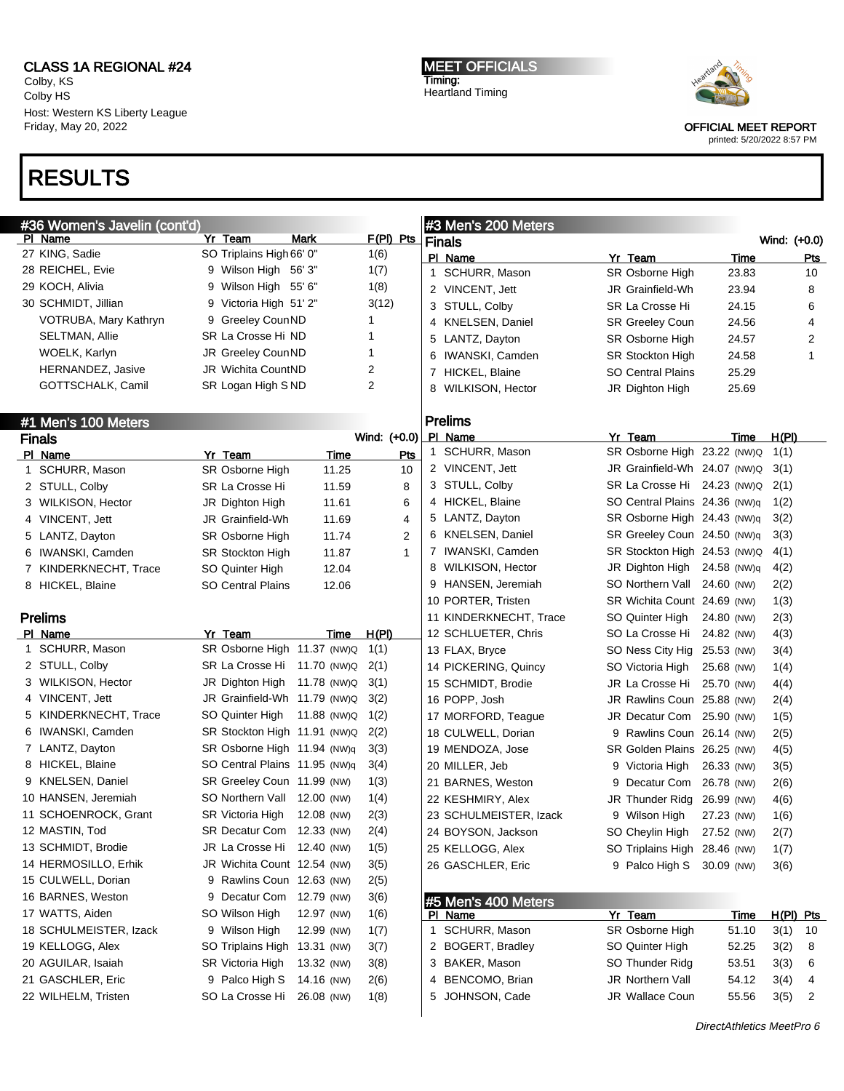Colby, KS Colby HS Host: Western KS Liberty League Friday, May 20, 2022

# RESULTS

MEET OFFICIALS Timing: Heartland Timing



OFFICIAL MEET REPORT

|              | #36 Women's Javelin (cont'd) |   |                               |             |              |   | #3 Men's 200 Meters    |                               |             |                  |              |
|--------------|------------------------------|---|-------------------------------|-------------|--------------|---|------------------------|-------------------------------|-------------|------------------|--------------|
|              | PI Name                      |   | Yr Team                       | Mark        | $F(PI)$ Pts  |   | <b>Finals</b>          |                               |             | Wind: (+0.0)     |              |
|              | 27 KING, Sadie               |   | SO Triplains High 66' 0"      |             | 1(6)         |   | PI Name                | Yr Team                       | Time        |                  | <b>Pts</b>   |
|              | 28 REICHEL, Evie             |   | 9 Wilson High 56' 3"          |             | 1(7)         |   | 1 SCHURR, Mason        | SR Osborne High               | 23.83       |                  | 10           |
|              | 29 KOCH, Alivia              | 9 | Wilson High 55' 6"            |             | 1(8)         |   | 2 VINCENT, Jett        | JR Grainfield-Wh              | 23.94       |                  | 8            |
|              | 30 SCHMIDT, Jillian          |   | 9 Victoria High 51' 2"        |             | 3(12)        |   | 3 STULL, Colby         | SR La Crosse Hi               | 24.15       |                  | 6            |
|              | VOTRUBA, Mary Kathryn        |   | 9 Greeley CounND              |             | 1            |   | 4 KNELSEN, Daniel      | <b>SR Greeley Coun</b>        | 24.56       |                  | 4            |
|              | <b>SELTMAN, Allie</b>        |   | SR La Crosse Hi ND            |             | 1            |   | 5 LANTZ, Dayton        | SR Osborne High               | 24.57       |                  | 2            |
|              | WOELK, Karlyn                |   | JR Greeley CounND             |             | 1            |   | 6 IWANSKI, Camden      | <b>SR Stockton High</b>       | 24.58       |                  | $\mathbf{1}$ |
|              | HERNANDEZ, Jasive            |   | JR Wichita CountND            |             | 2            |   | 7 HICKEL, Blaine       | <b>SO Central Plains</b>      | 25.29       |                  |              |
|              | GOTTSCHALK, Camil            |   | SR Logan High SND             |             | 2            | 8 | WILKISON, Hector       | JR Dighton High               | 25.69       |                  |              |
|              |                              |   |                               |             |              |   |                        |                               |             |                  |              |
|              | #1 Men's 100 Meters          |   |                               |             |              |   | <b>Prelims</b>         |                               |             |                  |              |
|              | <b>Finals</b>                |   |                               |             | Wind: (+0.0) |   | PI Name                | Yr Team                       | Time        | H(PI)            |              |
|              | PI Name                      |   | Yr Team                       | Time        | Pts          |   | 1 SCHURR, Mason        | SR Osborne High 23.22 (NW)Q   |             | 1(1)             |              |
| $\mathbf{1}$ | SCHURR, Mason                |   | SR Osborne High               | 11.25       | 10           |   | 2 VINCENT, Jett        | JR Grainfield-Wh 24.07 (NW)Q  |             | 3(1)             |              |
|              | 2 STULL, Colby               |   | SR La Crosse Hi               | 11.59       | 8            |   | 3 STULL, Colby         | SR La Crosse Hi 24.23 (NW)Q   |             | 2(1)             |              |
|              | 3 WILKISON, Hector           |   | JR Dighton High               | 11.61       | 6            |   | 4 HICKEL, Blaine       | SO Central Plains 24.36 (NW)q |             | 1(2)             |              |
|              | 4 VINCENT, Jett              |   | JR Grainfield-Wh              | 11.69       | 4            |   | 5 LANTZ, Dayton        | SR Osborne High 24.43 (NW)q   |             | 3(2)             |              |
|              | 5 LANTZ, Dayton              |   | SR Osborne High               | 11.74       | 2            |   | 6 KNELSEN, Daniel      | SR Greeley Coun 24.50 (NW)q   |             | 3(3)             |              |
|              | 6 IWANSKI, Camden            |   | <b>SR Stockton High</b>       | 11.87       | $\mathbf{1}$ |   | 7 IWANSKI, Camden      | SR Stockton High 24.53 (NW)Q  |             | 4(1)             |              |
|              | 7 KINDERKNECHT, Trace        |   | SO Quinter High               | 12.04       |              |   | 8 WILKISON, Hector     | JR Dighton High 24.58 (NW)q   |             | 4(2)             |              |
|              | 8 HICKEL, Blaine             |   | SO Central Plains             | 12.06       |              |   | 9 HANSEN, Jeremiah     | SO Northern Vall 24.60 (NW)   |             | 2(2)             |              |
|              |                              |   |                               |             |              |   | 10 PORTER, Tristen     | SR Wichita Count 24.69 (NW)   |             | 1(3)             |              |
|              | <b>Prelims</b>               |   |                               |             |              |   | 11 KINDERKNECHT, Trace | SO Quinter High               | 24.80 (NW)  | 2(3)             |              |
|              | PI Name                      |   | Yr Team                       | Time        | H(PI)        |   | 12 SCHLUETER, Chris    | SO La Crosse Hi 24.82 (NW)    |             | 4(3)             |              |
|              | 1 SCHURR, Mason              |   | SR Osborne High 11.37 (NW)Q   |             | 1(1)         |   | 13 FLAX, Bryce         | SO Ness City Hig 25.53 (NW)   |             | 3(4)             |              |
|              | 2 STULL, Colby               |   | SR La Crosse Hi 11.70 (NW)Q   |             | 2(1)         |   | 14 PICKERING, Quincy   | SO Victoria High              | 25.68 (NW)  | 1(4)             |              |
|              | 3 WILKISON, Hector           |   | JR Dighton High               | 11.78 (NW)Q | 3(1)         |   | 15 SCHMIDT, Brodie     | JR La Crosse Hi 25.70 (NW)    |             | 4(4)             |              |
|              | 4 VINCENT, Jett              |   | JR Grainfield-Wh 11.79 (NW)Q  |             | 3(2)         |   | 16 POPP, Josh          | JR Rawlins Coun 25.88 (NW)    |             | 2(4)             |              |
|              | 5 KINDERKNECHT, Trace        |   | SO Quinter High               | 11.88 (NW)Q | 1(2)         |   | 17 MORFORD, Teague     | JR Decatur Com 25.90 (NW)     |             | 1(5)             |              |
|              | 6 IWANSKI, Camden            |   | SR Stockton High 11.91 (NW)Q  |             | 2(2)         |   | 18 CULWELL, Dorian     | 9 Rawlins Coun 26.14 (NW)     |             | 2(5)             |              |
|              | 7 LANTZ, Dayton              |   | SR Osborne High 11.94 (NW)q   |             | 3(3)         |   | 19 MENDOZA, Jose       | SR Golden Plains 26.25 (NW)   |             | 4(5)             |              |
|              | 8 HICKEL, Blaine             |   | SO Central Plains 11.95 (NW)q |             | 3(4)         |   | 20 MILLER, Jeb         | 9 Victoria High               | 26.33 (NW)  | 3(5)             |              |
|              | 9 KNELSEN, Daniel            |   | SR Greeley Coun 11.99 (NW)    |             | 1(3)         |   | 21 BARNES, Weston      | 9 Decatur Com 26.78 (NW)      |             | 2(6)             |              |
|              | 10 HANSEN, Jeremiah          |   | SO Northern Vall 12.00 (NW)   |             | 1(4)         |   | 22 KESHMIRY, Alex      | JR Thunder Ridg 26.99 (NW)    |             | 4(6)             |              |
|              | 11 SCHOENROCK, Grant         |   | SR Victoria High              | 12.08 (NW)  | 2(3)         |   | 23 SCHULMEISTER, Izack | 9 Wilson High                 | 27.23 (NW)  | 1(6)             |              |
|              | 12 MASTIN, Tod               |   | SR Decatur Com 12.33 (NW)     |             | 2(4)         |   | 24 BOYSON, Jackson     | SO Cheylin High 27.52 (NW)    |             | 2(7)             |              |
|              | 13 SCHMIDT, Brodie           |   | JR La Crosse Hi 12.40 (NW)    |             | 1(5)         |   | 25 KELLOGG, Alex       | SO Triplains High 28.46 (NW)  |             | 1(7)             |              |
|              | 14 HERMOSILLO, Erhik         |   | JR Wichita Count 12.54 (NW)   |             | 3(5)         |   | 26 GASCHLER, Eric      | 9 Palco High S 30.09 (NW)     |             | 3(6)             |              |
|              | 15 CULWELL, Dorian           |   | 9 Rawlins Coun 12.63 (NW)     |             | 2(5)         |   |                        |                               |             |                  |              |
|              | 16 BARNES, Weston            |   | 9 Decatur Com 12.79 (NW)      |             | 3(6)         |   | #5 Men's 400 Meters    |                               |             |                  |              |
|              | 17 WATTS, Aiden              |   | SO Wilson High                | 12.97 (NW)  | 1(6)         |   | PI Name                | Yr Team                       | <u>Time</u> | <u>H(PI) Pts</u> |              |
|              | 18 SCHULMEISTER, Izack       |   | 9 Wilson High                 | 12.99 (NW)  | 1(7)         |   | 1 SCHURR, Mason        | SR Osborne High               | 51.10       | 3(1)             | - 10         |
|              | 19 KELLOGG, Alex             |   | SO Triplains High 13.31 (NW)  |             | 3(7)         |   | 2 BOGERT, Bradley      | SO Quinter High               | 52.25       | 3(2)             | 8            |
|              | 20 AGUILAR, Isaiah           |   | SR Victoria High              | 13.32 (NW)  | 3(8)         |   | 3 BAKER, Mason         | SO Thunder Ridg               | 53.51       | 3(3)             | 6            |
|              | 21 GASCHLER, Eric            |   | 9 Palco High S                | 14.16 (NW)  | 2(6)         |   | 4 BENCOMO, Brian       | JR Northern Vall              | 54.12       | 3(4)             | 4            |
|              | 22 WILHELM, Tristen          |   | SO La Crosse Hi               | 26.08 (NW)  | 1(8)         |   | 5 JOHNSON, Cade        | JR Wallace Coun               | 55.56       | 3(5)             | 2            |
|              |                              |   |                               |             |              |   |                        |                               |             |                  |              |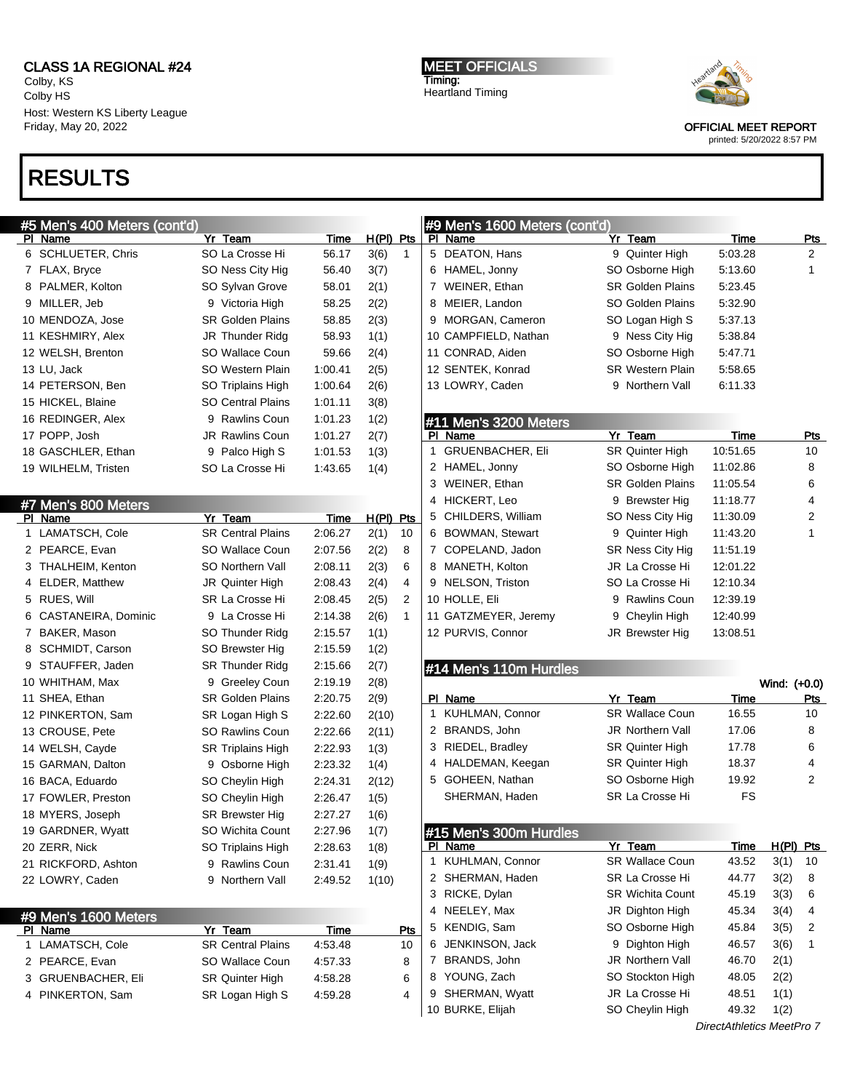Colby, KS Colby HS Host: Western KS Liberty League Friday, May 20, 2022

# RESULTS

MEET OFFICIALS Timing: Heartland Timing



OFFICIAL MEET REPORT

| #5 Men's 400 Meters (cont'd) |                          |         |                      | #9 Men's 1600 Meters (cont'd) |                         |                           |                         |  |
|------------------------------|--------------------------|---------|----------------------|-------------------------------|-------------------------|---------------------------|-------------------------|--|
| PI Name                      | Yr Team                  | Time    | $H(PI)$ Pts          | PI Name                       | Yr Team                 | <b>Time</b>               | <b>Pts</b>              |  |
| 6 SCHLUETER, Chris           | SO La Crosse Hi          | 56.17   | 3(6)<br>$\mathbf{1}$ | 5 DEATON, Hans                | 9 Quinter High          | 5:03.28                   | 2                       |  |
| 7 FLAX, Bryce                | SO Ness City Hig         | 56.40   | 3(7)                 | 6 HAMEL, Jonny                | SO Osborne High         | 5:13.60                   | $\mathbf{1}$            |  |
| 8 PALMER, Kolton             | SO Sylvan Grove          | 58.01   | 2(1)                 | 7 WEINER, Ethan               | <b>SR Golden Plains</b> | 5:23.45                   |                         |  |
| 9 MILLER, Jeb                | 9 Victoria High          | 58.25   | 2(2)                 | MEIER, Landon<br>8            | SO Golden Plains        | 5:32.90                   |                         |  |
| 10 MENDOZA, Jose             | <b>SR Golden Plains</b>  | 58.85   | 2(3)                 | 9 MORGAN, Cameron             | SO Logan High S         | 5:37.13                   |                         |  |
| 11 KESHMIRY, Alex            | JR Thunder Ridg          | 58.93   | 1(1)                 | 10 CAMPFIELD, Nathan          | 9 Ness City Hig         | 5:38.84                   |                         |  |
| 12 WELSH, Brenton            | SO Wallace Coun          | 59.66   | 2(4)                 | 11 CONRAD, Aiden              | SO Osborne High         | 5:47.71                   |                         |  |
| 13 LU, Jack                  | SO Western Plain         | 1:00.41 | 2(5)                 | 12 SENTEK, Konrad             | <b>SR Western Plain</b> | 5:58.65                   |                         |  |
| 14 PETERSON, Ben             | SO Triplains High        | 1:00.64 | 2(6)                 | 13 LOWRY, Caden               | 9 Northern Vall         | 6:11.33                   |                         |  |
| 15 HICKEL, Blaine            | <b>SO Central Plains</b> | 1:01.11 | 3(8)                 |                               |                         |                           |                         |  |
| 16 REDINGER, Alex            | 9 Rawlins Coun           | 1:01.23 | 1(2)                 | #11 Men's 3200 Meters         |                         |                           |                         |  |
| 17 POPP, Josh                | <b>JR Rawlins Coun</b>   | 1:01.27 | 2(7)                 | PL<br>Name                    | Yr Team                 | <b>Time</b>               | <u>Pts</u>              |  |
| 18 GASCHLER, Ethan           | 9 Palco High S           | 1:01.53 | 1(3)                 | 1 GRUENBACHER, Eli            | <b>SR Quinter High</b>  | 10:51.65                  | 10                      |  |
| 19 WILHELM, Tristen          | SO La Crosse Hi          | 1:43.65 | 1(4)                 | 2 HAMEL, Jonny                | SO Osborne High         | 11:02.86                  | 8                       |  |
|                              |                          |         |                      | 3 WEINER, Ethan               | <b>SR Golden Plains</b> | 11:05.54                  | 6                       |  |
| #7 Men's 800 Meters          |                          |         |                      | HICKERT, Leo<br>4             | 9 Brewster Hig          | 11:18.77                  | 4                       |  |
| PI Name                      | Yr Team                  | Time    | $H(PI)$ Pts          | 5 CHILDERS, William           | SO Ness City Hig        | 11:30.09                  | $\overline{\mathbf{c}}$ |  |
| 1 LAMATSCH, Cole             | <b>SR Central Plains</b> | 2:06.27 | 2(1)<br>10           | 6 BOWMAN, Stewart             | 9 Quinter High          | 11:43.20                  | 1                       |  |
| 2 PEARCE, Evan               | SO Wallace Coun          | 2:07.56 | 2(2)<br>8            | 7 COPELAND, Jadon             | SR Ness City Hig        | 11:51.19                  |                         |  |
| 3 THALHEIM, Kenton           | SO Northern Vall         | 2:08.11 | 2(3)<br>6            | 8 MANETH, Kolton              | JR La Crosse Hi         | 12:01.22                  |                         |  |
| 4 ELDER, Matthew             | JR Quinter High          | 2:08.43 | 2(4)<br>4            | 9 NELSON, Triston             | SO La Crosse Hi         | 12:10.34                  |                         |  |
| 5 RUES, Will                 | SR La Crosse Hi          | 2:08.45 | 2(5)<br>2            | 10 HOLLE, Eli                 | 9 Rawlins Coun          | 12:39.19                  |                         |  |
| 6 CASTANEIRA, Dominic        | 9 La Crosse Hi           | 2:14.38 | 2(6)<br>$\mathbf 1$  | 11 GATZMEYER, Jeremy          | Cheylin High<br>9       | 12:40.99                  |                         |  |
| 7 BAKER, Mason               | SO Thunder Ridg          | 2:15.57 | 1(1)                 | 12 PURVIS, Connor             | JR Brewster Hig         | 13:08.51                  |                         |  |
| 8 SCHMIDT, Carson            | SO Brewster Hig          | 2:15.59 | 1(2)                 |                               |                         |                           |                         |  |
| 9 STAUFFER, Jaden            | <b>SR Thunder Ridg</b>   | 2:15.66 | 2(7)                 | #14 Men's 110m Hurdles        |                         |                           |                         |  |
| 10 WHITHAM, Max              | 9 Greeley Coun           | 2:19.19 | 2(8)                 |                               |                         |                           | Wind: (+0.0)            |  |
| 11 SHEA, Ethan               | <b>SR Golden Plains</b>  | 2:20.75 | 2(9)                 | PI Name                       | Yr Team                 | Time                      | Pts                     |  |
| 12 PINKERTON, Sam            | SR Logan High S          | 2:22.60 | 2(10)                | 1 KUHLMAN, Connor             | <b>SR Wallace Coun</b>  | 16.55                     | 10                      |  |
| 13 CROUSE, Pete              | <b>SO Rawlins Coun</b>   | 2:22.66 | 2(11)                | 2 BRANDS, John                | <b>JR Northern Vall</b> | 17.06                     | 8                       |  |
| 14 WELSH, Cayde              | <b>SR Triplains High</b> | 2:22.93 | 1(3)                 | 3 RIEDEL, Bradley             | <b>SR Quinter High</b>  | 17.78                     | 6                       |  |
| 15 GARMAN, Dalton            | 9 Osborne High           | 2:23.32 | 1(4)                 | HALDEMAN, Keegan<br>4         | <b>SR Quinter High</b>  | 18.37                     | 4                       |  |
| 16 BACA, Eduardo             | SO Cheylin High          | 2:24.31 | 2(12)                | 5 GOHEEN, Nathan              | SO Osborne High         | 19.92                     | 2                       |  |
| 17 FOWLER, Preston           | SO Cheylin High          | 2:26.47 | 1(5)                 | SHERMAN, Haden                | SR La Crosse Hi         | <b>FS</b>                 |                         |  |
| 18 MYERS, Joseph             | <b>SR Brewster Hig</b>   | 2:27.27 | 1(6)                 |                               |                         |                           |                         |  |
| 19 GARDNER, Wyatt            | SO Wichita Count         | 2:27.96 | 1(7)                 | #15 Men's 300m Hurdles        |                         |                           |                         |  |
| 20 ZERR, Nick                | SO Triplains High        | 2:28.63 | 1(8)                 | PI Name                       | Yr Team                 | <b>Time</b>               | $H(PI)$ Pts             |  |
| 21 RICKFORD, Ashton          | 9 Rawlins Coun           | 2:31.41 | 1(9)                 | 1 KUHLMAN, Connor             | SR Wallace Coun         | 43.52                     | 3(1)<br>10              |  |
| 22 LOWRY, Caden              | 9 Northern Vall          | 2:49.52 | 1(10)                | 2 SHERMAN, Haden              | SR La Crosse Hi         | 44.77                     | 3(2)<br>8               |  |
|                              |                          |         |                      | 3 RICKE, Dylan                | <b>SR Wichita Count</b> | 45.19                     | 3(3)<br>6               |  |
| #9 Men's 1600 Meters         |                          |         |                      | NEELEY, Max<br>4              | JR Dighton High         | 45.34                     | 3(4)<br>4               |  |
| PI Name                      | Yr Team                  | Time    | Pts                  | 5 KENDIG, Sam                 | SO Osborne High         | 45.84                     | 3(5)<br>2               |  |
| 1 LAMATSCH, Cole             | <b>SR Central Plains</b> | 4:53.48 | 10                   | JENKINSON, Jack<br>6          | 9 Dighton High          | 46.57                     | 3(6)<br>1               |  |
| 2 PEARCE, Evan               | SO Wallace Coun          | 4:57.33 | 8                    | 7 BRANDS, John                | JR Northern Vall        | 46.70                     | 2(1)                    |  |
| 3 GRUENBACHER, Eli           | SR Quinter High          | 4:58.28 | 6                    | 8 YOUNG, Zach                 | SO Stockton High        | 48.05                     | 2(2)                    |  |
| 4 PINKERTON, Sam             | SR Logan High S          | 4:59.28 | 4                    | SHERMAN, Wyatt<br>9           | JR La Crosse Hi         | 48.51                     | 1(1)                    |  |
|                              |                          |         |                      | 10 BURKE, Elijah              | SO Cheylin High         | 49.32                     | 1(2)                    |  |
|                              |                          |         |                      |                               |                         | DirectAthletics MeetPro 7 |                         |  |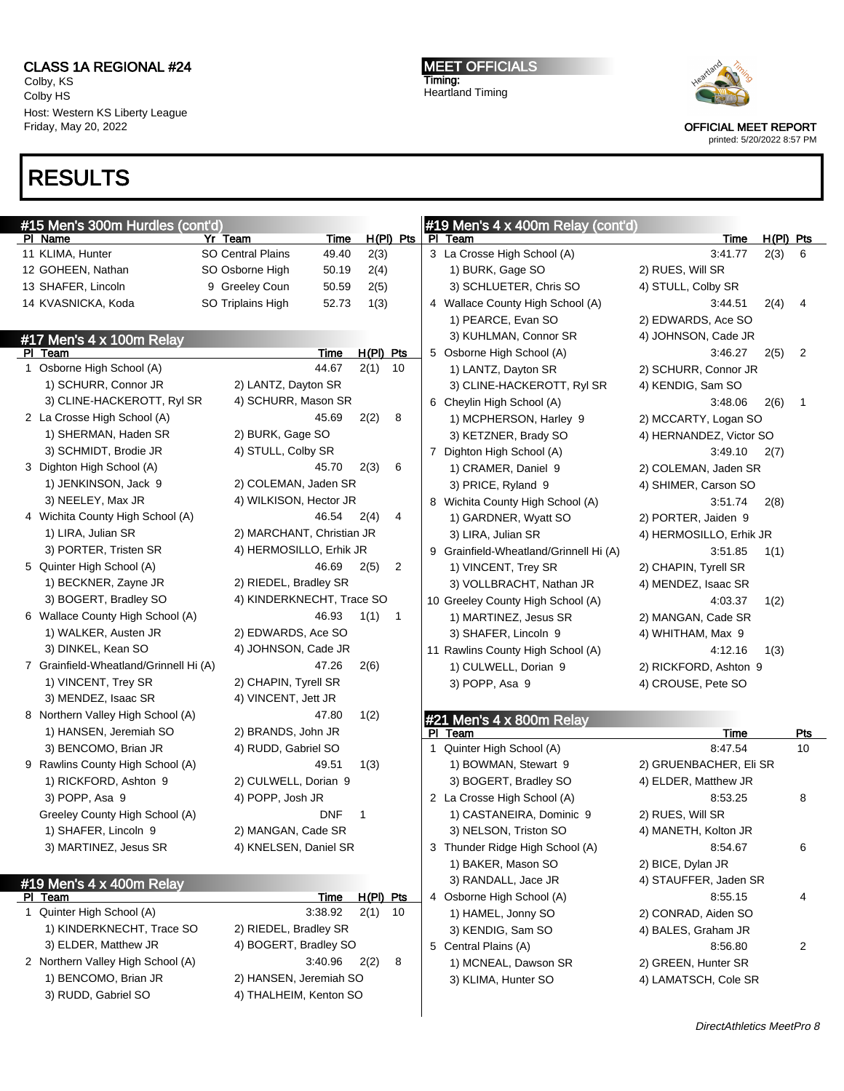Colby, KS Colby HS Host: Western KS Liberty League Friday, May 20, 2022

RESULTS

| <b>MEET OFFICIALS</b>   |  |
|-------------------------|--|
| Timing:                 |  |
| <b>Heartland Timing</b> |  |



OFFICIAL MEET REPORT printed: 5/20/2022 8:57 PM

| #15 Men's 300m Hurdles (cont'd)<br>#19 Men's 4 x 400m Relay (cont'd) |  |                           |             |           |                |                                                           |                |  |  |  |
|----------------------------------------------------------------------|--|---------------------------|-------------|-----------|----------------|-----------------------------------------------------------|----------------|--|--|--|
| PI Name                                                              |  | Yr Team                   | Time        |           | H(PI) Pts      | PI Team<br>Time                                           | $H(PI)$ Pts    |  |  |  |
| 11 KLIMA, Hunter                                                     |  | <b>SO Central Plains</b>  | 49.40       | 2(3)      |                | 3 La Crosse High School (A)<br>3:41.77<br>2(3)            | 6              |  |  |  |
| 12 GOHEEN, Nathan                                                    |  | SO Osborne High           | 50.19       | 2(4)      |                | 1) BURK, Gage SO<br>2) RUES, Will SR                      |                |  |  |  |
| 13 SHAFER, Lincoln                                                   |  | 9 Greeley Coun            | 50.59       | 2(5)      |                | 3) SCHLUETER, Chris SO<br>4) STULL, Colby SR              |                |  |  |  |
| 14 KVASNICKA, Koda                                                   |  | SO Triplains High         | 52.73       | 1(3)      |                | 4 Wallace County High School (A)<br>3:44.51<br>2(4)       | 4              |  |  |  |
|                                                                      |  |                           |             |           |                | 1) PEARCE, Evan SO<br>2) EDWARDS, Ace SO                  |                |  |  |  |
| #17 Men's 4 x 100m Relay                                             |  |                           |             |           |                | 3) KUHLMAN, Connor SR<br>4) JOHNSON, Cade JR              |                |  |  |  |
| PI Team                                                              |  |                           | <b>Time</b> | H(PI) Pts |                | 5 Osborne High School (A)<br>3:46.27<br>2(5)              | 2              |  |  |  |
| 1 Osborne High School (A)                                            |  |                           | 44.67       | 2(1)      | 10             | 1) LANTZ, Dayton SR<br>2) SCHURR, Connor JR               |                |  |  |  |
| 1) SCHURR, Connor JR                                                 |  | 2) LANTZ, Dayton SR       |             |           |                | 3) CLINE-HACKEROTT, RyI SR<br>4) KENDIG, Sam SO           |                |  |  |  |
| 3) CLINE-HACKEROTT, RyI SR                                           |  | 4) SCHURR, Mason SR       |             |           |                | 6 Cheylin High School (A)<br>3:48.06<br>2(6)              | $\overline{1}$ |  |  |  |
| 2 La Crosse High School (A)                                          |  |                           | 45.69       | 2(2)      | 8              | 1) MCPHERSON, Harley 9<br>2) MCCARTY, Logan SO            |                |  |  |  |
| 1) SHERMAN, Haden SR                                                 |  | 2) BURK, Gage SO          |             |           |                | 3) KETZNER, Brady SO<br>4) HERNANDEZ, Victor SO           |                |  |  |  |
| 3) SCHMIDT, Brodie JR                                                |  | 4) STULL, Colby SR        |             |           |                | 7 Dighton High School (A)<br>3:49.10<br>2(7)              |                |  |  |  |
| 3 Dighton High School (A)                                            |  |                           | 45.70       | 2(3)      | 6              | 1) CRAMER, Daniel 9<br>2) COLEMAN, Jaden SR               |                |  |  |  |
| 1) JENKINSON, Jack 9                                                 |  | 2) COLEMAN, Jaden SR      |             |           |                | 3) PRICE, Ryland 9<br>4) SHIMER, Carson SO                |                |  |  |  |
| 3) NEELEY, Max JR                                                    |  | 4) WILKISON, Hector JR    |             |           |                | 8 Wichita County High School (A)<br>3:51.74<br>2(8)       |                |  |  |  |
| 4 Wichita County High School (A)                                     |  |                           | 46.54       | 2(4)      | 4              | 1) GARDNER, Wyatt SO<br>2) PORTER, Jaiden 9               |                |  |  |  |
| 1) LIRA, Julian SR                                                   |  | 2) MARCHANT, Christian JR |             |           |                | 3) LIRA, Julian SR<br>4) HERMOSILLO, Erhik JR             |                |  |  |  |
| 3) PORTER, Tristen SR                                                |  | 4) HERMOSILLO, Erhik JR   |             |           |                | 9 Grainfield-Wheatland/Grinnell Hi (A)<br>3:51.85<br>1(1) |                |  |  |  |
| 5 Quinter High School (A)                                            |  |                           | 46.69       | 2(5)      | $\overline{2}$ | 1) VINCENT, Trey SR<br>2) CHAPIN, Tyrell SR               |                |  |  |  |
| 1) BECKNER, Zayne JR                                                 |  | 2) RIEDEL, Bradley SR     |             |           |                | 3) VOLLBRACHT, Nathan JR<br>4) MENDEZ, Isaac SR           |                |  |  |  |
| 3) BOGERT, Bradley SO                                                |  | 4) KINDERKNECHT, Trace SO |             |           |                | 10 Greeley County High School (A)<br>4:03.37<br>1(2)      |                |  |  |  |
| 6 Wallace County High School (A)                                     |  |                           | 46.93       | 1(1)      | $\overline{1}$ | 1) MARTINEZ, Jesus SR<br>2) MANGAN, Cade SR               |                |  |  |  |
| 1) WALKER, Austen JR                                                 |  | 2) EDWARDS, Ace SO        |             |           |                | 3) SHAFER, Lincoln 9<br>4) WHITHAM, Max 9                 |                |  |  |  |
| 3) DINKEL, Kean SO                                                   |  | 4) JOHNSON, Cade JR       |             |           |                | 11 Rawlins County High School (A)<br>4:12.16<br>1(3)      |                |  |  |  |
| 7 Grainfield-Wheatland/Grinnell Hi (A)                               |  |                           | 47.26       | 2(6)      |                | 1) CULWELL, Dorian 9<br>2) RICKFORD, Ashton 9             |                |  |  |  |
| 1) VINCENT, Trey SR                                                  |  | 2) CHAPIN, Tyrell SR      |             |           |                | 3) POPP, Asa 9<br>4) CROUSE, Pete SO                      |                |  |  |  |
| 3) MENDEZ, Isaac SR                                                  |  | 4) VINCENT, Jett JR       |             |           |                |                                                           |                |  |  |  |
| 8 Northern Valley High School (A)                                    |  |                           | 47.80       | 1(2)      |                |                                                           |                |  |  |  |
| 1) HANSEN, Jeremiah SO                                               |  | 2) BRANDS, John JR        |             |           |                | #21 Men's 4 x 800m Relay<br>PI Team<br>Time               | <b>Pts</b>     |  |  |  |
| 3) BENCOMO, Brian JR                                                 |  | 4) RUDD, Gabriel SO       |             |           |                | 1 Quinter High School (A)<br>8:47.54                      | 10             |  |  |  |
| 9 Rawlins County High School (A)                                     |  |                           | 49.51       | 1(3)      |                | 1) BOWMAN, Stewart 9<br>2) GRUENBACHER, Eli SR            |                |  |  |  |
| 1) RICKFORD, Ashton 9                                                |  | 2) CULWELL, Dorian 9      |             |           |                | 3) BOGERT, Bradley SO<br>4) ELDER, Matthew JR             |                |  |  |  |
| 3) POPP, Asa 9                                                       |  | 4) POPP, Josh JR          |             |           |                | 2 La Crosse High School (A)<br>8:53.25                    | 8              |  |  |  |
| Greeley County High School (A)                                       |  |                           | <b>DNF</b>  | 1         |                | 1) CASTANEIRA, Dominic 9<br>2) RUES, Will SR              |                |  |  |  |
| 1) SHAFER, Lincoln 9                                                 |  | 2) MANGAN, Cade SR        |             |           |                | 3) NELSON, Triston SO<br>4) MANETH, Kolton JR             |                |  |  |  |
| 3) MARTINEZ, Jesus SR                                                |  | 4) KNELSEN, Daniel SR     |             |           |                | 3 Thunder Ridge High School (A)<br>8:54.67                | 6              |  |  |  |
|                                                                      |  |                           |             |           |                |                                                           |                |  |  |  |
|                                                                      |  |                           |             |           |                | 1) BAKER, Mason SO<br>2) BICE, Dylan JR                   |                |  |  |  |
| #19 Men's 4 x 400m Relay                                             |  |                           |             |           |                | 3) RANDALL, Jace JR<br>4) STAUFFER, Jaden SR              |                |  |  |  |
| PI Team                                                              |  |                           | Time        | H(PI) Pts |                | 4 Osborne High School (A)<br>8:55.15                      | 4              |  |  |  |
| 1 Quinter High School (A)                                            |  |                           | 3:38.92     | 2(1)      | -10            | 1) HAMEL, Jonny SO<br>2) CONRAD, Aiden SO                 |                |  |  |  |
| 1) KINDERKNECHT, Trace SO                                            |  | 2) RIEDEL, Bradley SR     |             |           |                | 3) KENDIG, Sam SO<br>4) BALES, Graham JR                  |                |  |  |  |
| 3) ELDER, Matthew JR                                                 |  | 4) BOGERT, Bradley SO     |             |           |                | 5 Central Plains (A)<br>8:56.80                           | 2              |  |  |  |
| 2 Northern Valley High School (A)                                    |  |                           | 3:40.96     | 2(2)      | 8              | 1) MCNEAL, Dawson SR<br>2) GREEN, Hunter SR               |                |  |  |  |
| 1) BENCOMO, Brian JR                                                 |  | 2) HANSEN, Jeremiah SO    |             |           |                | 3) KLIMA, Hunter SO<br>4) LAMATSCH, Cole SR               |                |  |  |  |
| 3) RUDD, Gabriel SO                                                  |  | 4) THALHEIM, Kenton SO    |             |           |                |                                                           |                |  |  |  |
|                                                                      |  |                           |             |           |                |                                                           |                |  |  |  |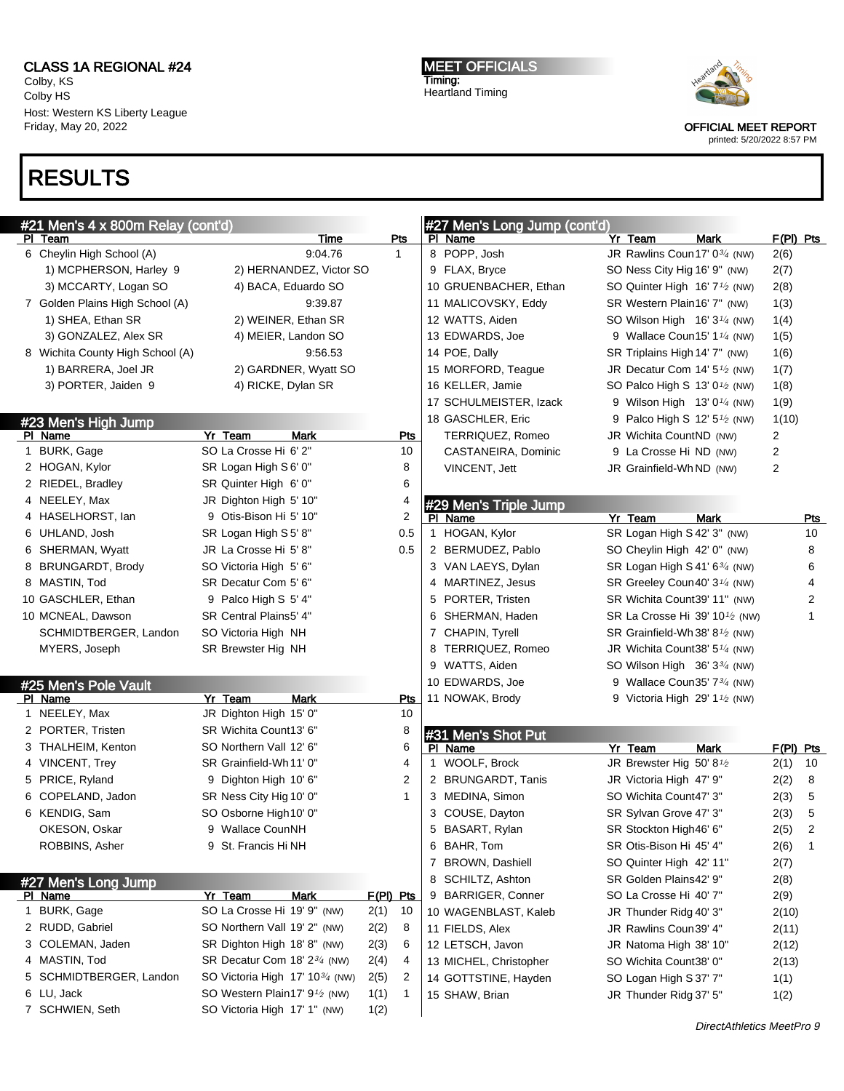Colby, KS Colby HS Host: Western KS Liberty League Friday, May 20, 2022

# RESULTS

MEET OFFICIALS Timing: Heartland Timing



OFFICIAL MEET REPORT

|   | #21 Men's 4 x 800m Relay (cont'd)    |                                                        |                      | #27 Men's Long Jump (cont'd)        |                                                                     |                     |     |
|---|--------------------------------------|--------------------------------------------------------|----------------------|-------------------------------------|---------------------------------------------------------------------|---------------------|-----|
|   | PI Team<br>6 Cheylin High School (A) | Time<br>9:04.76                                        | Pts<br>$\mathbf{1}$  | PI Name<br>8 POPP, Josh             | Yr Team<br><b>Mark</b><br>JR Rawlins Coun 17' 0 <sup>3/4</sup> (NW) | $F(PI)$ Pts<br>2(6) |     |
|   | 1) MCPHERSON, Harley 9               | 2) HERNANDEZ, Victor SO                                |                      | 9 FLAX, Bryce                       | SO Ness City Hig 16' 9" (NW)                                        | 2(7)                |     |
|   | 3) MCCARTY, Logan SO                 | 4) BACA, Eduardo SO                                    |                      | 10 GRUENBACHER, Ethan               | SO Quinter High 16' 7 <sup>1</sup> / <sub>2</sub> (NW)              | 2(8)                |     |
|   | 7 Golden Plains High School (A)      | 9:39.87                                                |                      | 11 MALICOVSKY, Eddy                 | SR Western Plain16' 7" (NW)                                         | 1(3)                |     |
|   | 1) SHEA, Ethan SR                    | 2) WEINER, Ethan SR                                    |                      | 12 WATTS, Aiden                     | SO Wilson High $16'3''/4$ (NW)                                      | 1(4)                |     |
|   | 3) GONZALEZ, Alex SR                 | 4) MEIER, Landon SO                                    |                      | 13 EDWARDS, Joe                     | 9 Wallace Coun15' 1 <sup>1</sup> /4 (NW)                            | 1(5)                |     |
|   | 8 Wichita County High School (A)     | 9:56.53                                                |                      | 14 POE, Dally                       | SR Triplains High 14' 7" (NW)                                       | 1(6)                |     |
|   | 1) BARRERA, Joel JR                  | 2) GARDNER, Wyatt SO                                   |                      | 15 MORFORD, Teaque                  | JR Decatur Com 14' $5\frac{1}{2}$ (NW)                              | 1(7)                |     |
|   | 3) PORTER, Jaiden 9                  | 4) RICKE, Dylan SR                                     |                      | 16 KELLER, Jamie                    | SO Palco High S 13' $0\frac{1}{2}$ (NW)                             | 1(8)                |     |
|   |                                      |                                                        |                      | 17 SCHULMEISTER, Izack              | 9 Wilson High $13'0'$ <sup>/4</sup> (NW)                            | 1(9)                |     |
|   | #23 Men's High Jump                  |                                                        |                      | 18 GASCHLER, Eric                   | 9 Palco High S 12' 5 <sup>1</sup> / <sub>2</sub> (NW)               | 1(10)               |     |
|   | PI Name                              | Yr Team<br>Mark                                        | <u>Pts</u>           | TERRIQUEZ, Romeo                    | JR Wichita CountND (NW)                                             | 2                   |     |
|   | 1 BURK, Gage                         | SO La Crosse Hi 6' 2"                                  | 10                   | CASTANEIRA, Dominic                 | 9 La Crosse Hi ND (NW)                                              | $\overline{c}$      |     |
|   | 2 HOGAN, Kylor                       | SR Logan High S6' 0"                                   | 8                    | VINCENT, Jett                       | JR Grainfield-Wh ND (NW)                                            | $\overline{2}$      |     |
|   | 2 RIEDEL, Bradley                    | SR Quinter High 6' 0"                                  | 6                    |                                     |                                                                     |                     |     |
|   | 4 NEELEY, Max                        | JR Dighton High 5' 10"                                 | 4                    | #29 Men's Triple Jump               |                                                                     |                     |     |
|   | 4 HASELHORST, lan                    | 9 Otis-Bison Hi 5' 10"                                 | $\overline{c}$       | PI Name                             | Yr Team<br><b>Mark</b>                                              |                     | Pts |
|   | 6 UHLAND, Josh                       | SR Logan High S5'8"                                    | 0.5                  | 1 HOGAN, Kylor                      | SR Logan High S 42' 3" (NW)                                         | 10                  |     |
|   | 6 SHERMAN, Wyatt                     | JR La Crosse Hi 5'8"                                   | 0.5                  | 2 BERMUDEZ, Pablo                   | SO Cheylin High 42' 0" (NW)                                         | 8                   |     |
|   | 8 BRUNGARDT, Brody                   | SO Victoria High 5' 6"                                 |                      | 3 VAN LAEYS, Dylan                  | SR Logan High S 41' $6\frac{3}{4}$ (NW)                             | 6                   |     |
|   | 8 MASTIN, Tod                        | SR Decatur Com 5' 6"                                   |                      | 4 MARTINEZ, Jesus                   | SR Greeley Coun40' 3 <sup>1/4</sup> (NW)                            | 4                   |     |
|   | 10 GASCHLER, Ethan                   | 9 Palco High S 5' 4"                                   |                      | 5 PORTER, Tristen                   | SR Wichita Count39' 11" (NW)                                        | $\overline{c}$      |     |
|   | 10 MCNEAL, Dawson                    | SR Central Plains5' 4"                                 |                      | 6 SHERMAN, Haden                    | SR La Crosse Hi 39' 10 $\frac{1}{2}$ (NW)                           | $\mathbf{1}$        |     |
|   | SCHMIDTBERGER, Landon                | SO Victoria High NH                                    |                      | 7 CHAPIN, Tyrell                    | SR Grainfield-Wh 38' 8 $\frac{1}{2}$ (NW)                           |                     |     |
|   | MYERS, Joseph                        | SR Brewster Hig NH                                     |                      | 8 TERRIQUEZ, Romeo                  | JR Wichita Count38' 5 <sup>1/4</sup> (NW)                           |                     |     |
|   |                                      |                                                        |                      | 9 WATTS, Aiden                      | SO Wilson High $36'3\frac{3}{4}$ (NW)                               |                     |     |
|   | #25 Men's Pole Vault                 |                                                        |                      | 10 EDWARDS, Joe                     | 9 Wallace Coun35' 73/4 (NW)                                         |                     |     |
|   | PI Name                              | Yr Team<br><b>Mark</b>                                 | <u>Pts</u>           | 11 NOWAK, Brody                     | 9 Victoria High 29' 1 <sup>1</sup> / <sub>2</sub> (NW)              |                     |     |
|   | 1 NEELEY, Max                        | JR Dighton High 15' 0"                                 | 10                   |                                     |                                                                     |                     |     |
|   | 2 PORTER, Tristen                    | SR Wichita Count13' 6"                                 | 8                    | #31 Men's Shot Put                  |                                                                     |                     |     |
|   | 3 THALHEIM, Kenton                   | SO Northern Vall 12' 6"                                | 6                    | PI Name                             | Yr Team<br><b>Mark</b>                                              | $F(PI)$ Pts         |     |
|   | 4 VINCENT, Trey                      | SR Grainfield-Wh11' 0"                                 | 4                    | 1 WOOLF, Brock                      | JR Brewster Hig 50' 8 $1/2$                                         | 2(1)<br>10          |     |
|   | 5 PRICE, Ryland                      | 9 Dighton High 10' 6"                                  | 2                    | 2 BRUNGARDT, Tanis                  | JR Victoria High 47' 9"                                             | 2(2)<br>8           |     |
|   | 6 COPELAND, Jadon                    | SR Ness City Hig 10' 0"                                | $\mathbf{1}$         | 3 MEDINA, Simon                     | SO Wichita Count47' 3"                                              | 2(3)<br>5           |     |
|   | 6 KENDIG, Sam                        | SO Osborne High 10' 0"                                 |                      | 3 COUSE, Dayton                     | SR Sylvan Grove 47' 3"                                              | 5<br>2(3)           |     |
|   | OKESON, Oskar                        | 9 Wallace CounNH                                       |                      | 5 BASART, Rylan                     | SR Stockton High46' 6"                                              | 2(5)<br>2           |     |
|   | ROBBINS, Asher                       | 9 St. Francis Hi NH                                    |                      | 6 BAHR, Tom                         | SR Otis-Bison Hi 45' 4"                                             | 2(6)<br>$\mathbf 1$ |     |
|   |                                      |                                                        |                      | 7 BROWN, Dashiell                   | SO Quinter High 42' 11"                                             | 2(7)                |     |
|   | #27 Men's Long Jump                  |                                                        | $F(PI)$ Pts          | 8 SCHILTZ, Ashton                   | SR Golden Plains42' 9"<br>SO La Crosse Hi 40' 7"                    | 2(8)                |     |
|   | PI Name<br>1 BURK, Gage              | Yr Team<br><b>Mark</b><br>SO La Crosse Hi 19' 9" (NW)  | 2(1)<br>10           | 9 BARRIGER, Conner                  |                                                                     | 2(9)                |     |
|   | 2 RUDD, Gabriel                      | SO Northern Vall 19' 2" (NW)                           | 8                    | 10 WAGENBLAST, Kaleb                | JR Thunder Ridg 40' 3"<br>JR Rawlins Coun39' 4"                     | 2(10)               |     |
| 3 | COLEMAN, Jaden                       | SR Dighton High 18' 8" (NW)                            | 2(2)<br>2(3)<br>6    | 11 FIELDS, Alex<br>12 LETSCH, Javon | JR Natoma High 38' 10"                                              | 2(11)               |     |
|   | 4 MASTIN, Tod                        | SR Decatur Com 18' 2 <sup>3/4</sup> (NW)               | 4<br>2(4)            | 13 MICHEL, Christopher              | SO Wichita Count38' 0"                                              | 2(12)<br>2(13)      |     |
| 5 | SCHMIDTBERGER, Landon                | SO Victoria High 17' 10 <sup>3</sup> /4 (NW)           | 2(5)<br>2            | 14 GOTTSTINE, Hayden                | SO Logan High S 37' 7"                                              | 1(1)                |     |
|   | 6 LU, Jack                           | SO Western Plain17' 9 <sup>1</sup> / <sub>2</sub> (NW) | 1(1)<br>$\mathbf{1}$ | 15 SHAW, Brian                      | JR Thunder Ridg 37' 5"                                              | 1(2)                |     |
|   | 7 SCHWIEN, Seth                      | SO Victoria High 17' 1" (NW)                           | 1(2)                 |                                     |                                                                     |                     |     |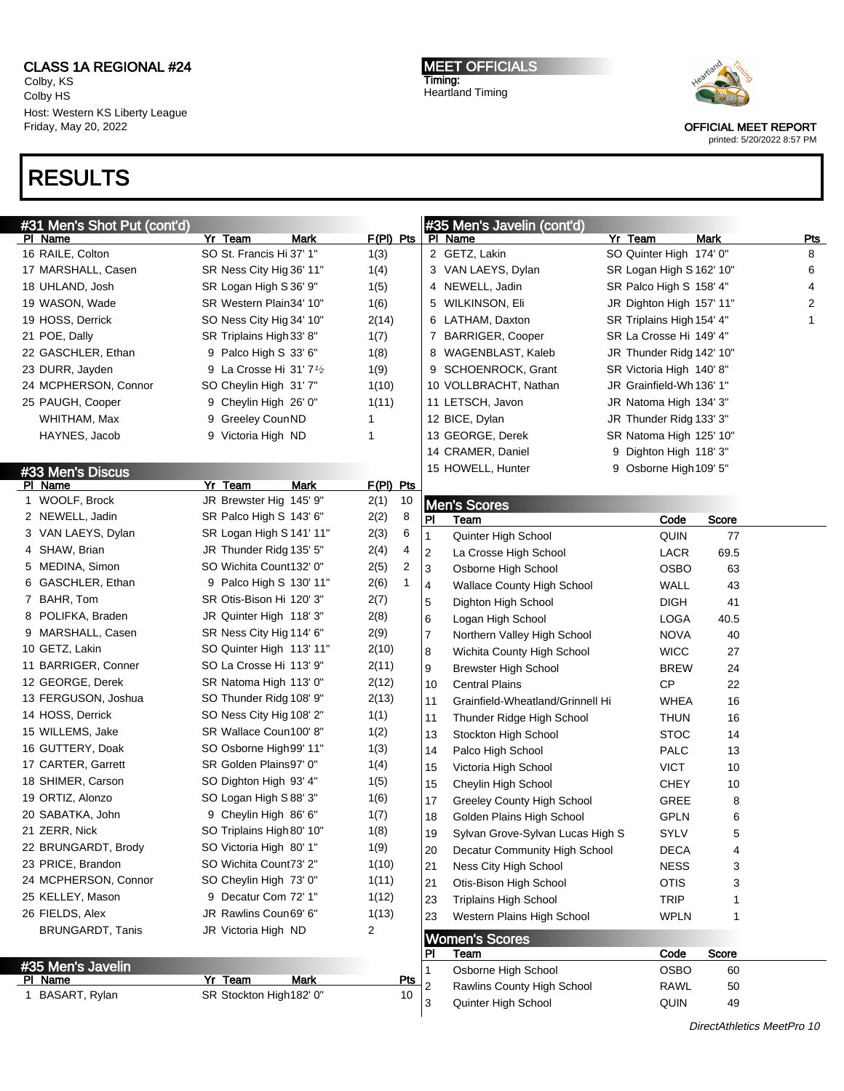Colby, KS Colby HS Host: Western KS Liberty League Friday, May 20, 2022

# RESULTS

MEET OFFICIALS Timing: Heartland Timing



OFFICIAL MEET REPORT

| #31 Men's Shot Put (cont'd)             |                                                    |             |              |            |    | #35 Men's Javelin (cont'd)        |                           |              |            |
|-----------------------------------------|----------------------------------------------------|-------------|--------------|------------|----|-----------------------------------|---------------------------|--------------|------------|
| <u>PI Name</u>                          | Yr Team                                            | Mark        | $F(PI)$ Pts  |            |    | PI Name                           | Yr Team                   | <b>Mark</b>  | <b>Pts</b> |
| 16 RAILE, Colton                        | SO St. Francis Hi 37' 1"                           |             | 1(3)         |            |    | 2 GETZ, Lakin                     | SO Quinter High 174' 0"   |              | 8          |
| 17 MARSHALL, Casen                      | SR Ness City Hig 36' 11"                           |             | 1(4)         |            |    | 3 VAN LAEYS, Dylan                | SR Logan High S 162' 10"  |              | 6          |
| 18 UHLAND, Josh                         | SR Logan High S 36' 9"                             |             | 1(5)         |            |    | 4 NEWELL, Jadin                   | SR Palco High S 158' 4"   |              | 4          |
| 19 WASON, Wade                          | SR Western Plain34' 10"                            |             | 1(6)         |            |    | 5 WILKINSON, Eli                  | JR Dighton High 157' 11"  |              | 2          |
| 19 HOSS, Derrick                        | SO Ness City Hig 34' 10"                           |             | 2(14)        |            |    | 6 LATHAM, Daxton                  | SR Triplains High 154' 4" |              | 1          |
| 21 POE, Dally                           | SR Triplains High 33' 8"                           |             | 1(7)         |            |    | 7 BARRIGER, Cooper                | SR La Crosse Hi 149' 4"   |              |            |
| 22 GASCHLER, Ethan                      | 9 Palco High S 33' 6"                              |             | 1(8)         |            |    | 8 WAGENBLAST, Kaleb               | JR Thunder Ridg 142' 10"  |              |            |
| 23 DURR, Jayden                         | 9 La Crosse Hi 31' $7\frac{1}{2}$                  |             | 1(9)         |            |    | 9 SCHOENROCK, Grant               | SR Victoria High 140' 8"  |              |            |
| 24 MCPHERSON, Connor                    | SO Cheylin High 31' 7"                             |             | 1(10)        |            |    | 10 VOLLBRACHT, Nathan             | JR Grainfield-Wh 136' 1"  |              |            |
| 25 PAUGH, Cooper                        | 9 Cheylin High 26' 0"                              |             | 1(11)        |            |    | 11 LETSCH, Javon                  | JR Natoma High 134' 3"    |              |            |
| WHITHAM, Max                            | 9 Greeley CounND                                   |             | 1            |            |    | 12 BICE, Dylan                    | JR Thunder Ridg 133' 3"   |              |            |
| HAYNES, Jacob                           | 9 Victoria High ND                                 |             | 1            |            |    | 13 GEORGE, Derek                  | SR Natoma High 125' 10"   |              |            |
|                                         |                                                    |             |              |            |    | 14 CRAMER, Daniel                 | 9 Dighton High 118' 3"    |              |            |
| #33 Men's Discus                        |                                                    |             |              |            |    | 15 HOWELL, Hunter                 | 9 Osborne High 109' 5"    |              |            |
| PI Name                                 | Yr Team                                            | Mark        | F(PI) Pts    |            |    |                                   |                           |              |            |
| 1 WOOLF, Brock                          | JR Brewster Hig 145' 9"                            |             | 2(1)         | 10         |    | <b>Men's Scores</b>               |                           |              |            |
| 2 NEWELL, Jadin                         | SR Palco High S 143' 6"                            |             | 2(2)         | 8          | PI | Team                              | Code                      | Score        |            |
| 3 VAN LAEYS, Dylan                      | SR Logan High S 141' 11"                           |             | 2(3)         | 6          | 1  | Quinter High School               | QUIN                      | 77           |            |
| 4 SHAW, Brian                           | JR Thunder Ridg 135' 5"                            |             | 2(4)         | 4          | 2  | La Crosse High School             | LACR                      | 69.5         |            |
| 5 MEDINA, Simon                         | SO Wichita Count132' 0"                            |             | 2(5)         | 2          | 3  | Osborne High School               | <b>OSBO</b>               | 63           |            |
| 6 GASCHLER, Ethan                       | 9 Palco High S 130' 11"                            |             | 2(6)         | 1          | 4  | <b>Wallace County High School</b> | <b>WALL</b>               | 43           |            |
| 7 BAHR, Tom                             | SR Otis-Bison Hi 120' 3"                           |             | 2(7)         |            | 5  | Dighton High School               | <b>DIGH</b>               | 41           |            |
| 8 POLIFKA, Braden                       | JR Quinter High 118' 3"                            |             | 2(8)         |            | 6  | Logan High School                 | LOGA                      | 40.5         |            |
| 9 MARSHALL, Casen                       | SR Ness City Hig 114' 6"                           |             | 2(9)         |            | 7  | Northern Valley High School       | <b>NOVA</b>               | 40           |            |
| 10 GETZ, Lakin                          | SO Quinter High 113' 11"                           |             | 2(10)        |            | 8  | Wichita County High School        | <b>WICC</b>               | 27           |            |
| 11 BARRIGER, Conner                     | SO La Crosse Hi 113' 9"                            |             | 2(11)        |            | 9  | <b>Brewster High School</b>       | <b>BREW</b>               | 24           |            |
| 12 GEORGE, Derek                        | SR Natoma High 113' 0"                             |             | 2(12)        |            | 10 | <b>Central Plains</b>             | <b>CP</b>                 | 22           |            |
| 13 FERGUSON, Joshua<br>14 HOSS, Derrick | SO Thunder Ridg 108' 9"                            |             | 2(13)        |            | 11 | Grainfield-Wheatland/Grinnell Hi  | WHEA                      | 16           |            |
|                                         | SO Ness City Hig 108' 2"<br>SR Wallace Coun100' 8" |             | 1(1)         |            | 11 | Thunder Ridge High School         | <b>THUN</b>               | 16           |            |
| 15 WILLEMS, Jake<br>16 GUTTERY, Doak    | SO Osborne High 99' 11"                            |             | 1(2)         |            | 13 | Stockton High School              | <b>STOC</b>               | 14           |            |
| 17 CARTER, Garrett                      | SR Golden Plains97' 0"                             |             | 1(3)         |            | 14 | Palco High School                 | <b>PALC</b>               | 13           |            |
| 18 SHIMER, Carson                       | SO Dighton High 93' 4"                             |             | 1(4)         |            | 15 | Victoria High School              | <b>VICT</b>               | 10           |            |
| 19 ORTIZ, Alonzo                        | SO Logan High S 88' 3"                             |             | 1(5)<br>1(6) |            | 15 | Cheylin High School               | <b>CHEY</b>               | 10           |            |
| 20 SABATKA, John                        | 9 Cheylin High 86' 6"                              |             | 1(7)         |            | 17 | Greeley County High School        | GREE                      | 8            |            |
| 21 ZERR, Nick                           | SO Triplains High 80' 10"                          |             | 1(8)         |            | 18 | Golden Plains High School         | <b>GPLN</b>               | 6            |            |
| 22 BRUNGARDT, Brody                     | SO Victoria High 80' 1"                            |             | 1(9)         |            | 19 | Sylvan Grove-Sylvan Lucas High S  | SYLV                      | 5            |            |
| 23 PRICE, Brandon                       | SO Wichita Count73' 2"                             |             | 1(10)        |            | 20 | Decatur Community High School     | <b>DECA</b>               | 4            |            |
| 24 MCPHERSON, Connor                    | SO Cheylin High 73' 0"                             |             | 1(11)        |            | 21 | Ness City High School             | <b>NESS</b>               | 3            |            |
| 25 KELLEY, Mason                        | 9 Decatur Com 72' 1"                               |             | 1(12)        |            | 21 | Otis-Bison High School            | <b>OTIS</b>               | 3            |            |
| 26 FIELDS, Alex                         | JR Rawlins Coun69' 6"                              |             | 1(13)        |            | 23 | <b>Triplains High School</b>      | <b>TRIP</b>               |              |            |
| <b>BRUNGARDT, Tanis</b>                 | JR Victoria High ND                                |             | 2            |            | 23 | Western Plains High School        | <b>WPLN</b>               | 1            |            |
|                                         |                                                    |             |              |            |    | <b>Women's Scores</b>             |                           |              |            |
|                                         |                                                    |             |              |            | PI | <b>Team</b>                       | Code                      | <b>Score</b> |            |
| #35 Men's Javelin<br>PI Name            | Yr Team                                            | <b>Mark</b> |              | <b>Pts</b> | 1  | Osborne High School               | <b>OSBO</b>               | 60           |            |
| 1 BASART, Rylan                         | SR Stockton High182' 0"                            |             |              | 10         | 2  | Rawlins County High School        | <b>RAWL</b>               | 50           |            |
|                                         |                                                    |             |              |            | 3  | Quinter High School               | QUIN                      | 49           |            |